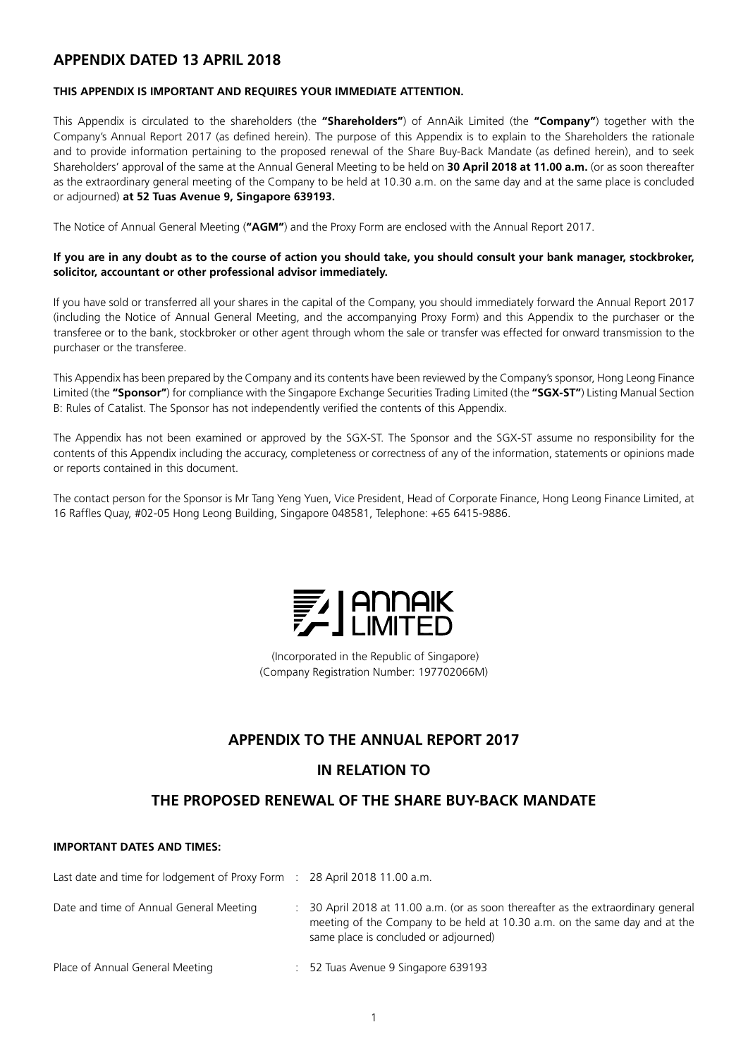### **APPENDIX DATED 13 APRIL 2018**

### **THIS APPENDIX IS IMPORTANT AND REQUIRES YOUR IMMEDIATE ATTENTION.**

This Appendix is circulated to the shareholders (the **"Shareholders"**) of AnnAik Limited (the **"Company"**) together with the Company's Annual Report 2017 (as defined herein). The purpose of this Appendix is to explain to the Shareholders the rationale and to provide information pertaining to the proposed renewal of the Share Buy-Back Mandate (as defined herein), and to seek Shareholders' approval of the same at the Annual General Meeting to be held on **30 April 2018 at 11.00 a.m.** (or as soon thereafter as the extraordinary general meeting of the Company to be held at 10.30 a.m. on the same day and at the same place is concluded or adjourned) **at 52 Tuas Avenue 9, Singapore 639193.**

The Notice of Annual General Meeting (**"AGM"**) and the Proxy Form are enclosed with the Annual Report 2017.

### **If you are in any doubt as to the course of action you should take, you should consult your bank manager, stockbroker, solicitor, accountant or other professional advisor immediately.**

If you have sold or transferred all your shares in the capital of the Company, you should immediately forward the Annual Report 2017 (including the Notice of Annual General Meeting, and the accompanying Proxy Form) and this Appendix to the purchaser or the transferee or to the bank, stockbroker or other agent through whom the sale or transfer was effected for onward transmission to the purchaser or the transferee.

This Appendix has been prepared by the Company and its contents have been reviewed by the Company's sponsor, Hong Leong Finance Limited (the **"Sponsor"**) for compliance with the Singapore Exchange Securities Trading Limited (the **"SGX-ST"**) Listing Manual Section B: Rules of Catalist. The Sponsor has not independently verified the contents of this Appendix.

The Appendix has not been examined or approved by the SGX-ST. The Sponsor and the SGX-ST assume no responsibility for the contents of this Appendix including the accuracy, completeness or correctness of any of the information, statements or opinions made or reports contained in this document.

The contact person for the Sponsor is Mr Tang Yeng Yuen, Vice President, Head of Corporate Finance, Hong Leong Finance Limited, at 16 Raffles Quay, #02-05 Hong Leong Building, Singapore 048581, Telephone: +65 6415-9886.



 (Incorporated in the Republic of Singapore) (Company Registration Number: 197702066M)

### **APPENDIX TO THE ANNUAL REPORT 2017**

### **IN RELATION TO**

### **THE PROPOSED RENEWAL OF THE SHARE BUY-BACK MANDATE**

### **IMPORTANT DATES AND TIMES:**

| Last date and time for lodgement of Proxy Form : 28 April 2018 11.00 a.m. |                                                                                                                                                                                                        |
|---------------------------------------------------------------------------|--------------------------------------------------------------------------------------------------------------------------------------------------------------------------------------------------------|
| Date and time of Annual General Meeting                                   | 30 April 2018 at 11.00 a.m. (or as soon thereafter as the extraordinary general<br>meeting of the Company to be held at 10.30 a.m. on the same day and at the<br>same place is concluded or adjourned) |
| Place of Annual General Meeting                                           | 52 Tuas Avenue 9 Singapore 639193                                                                                                                                                                      |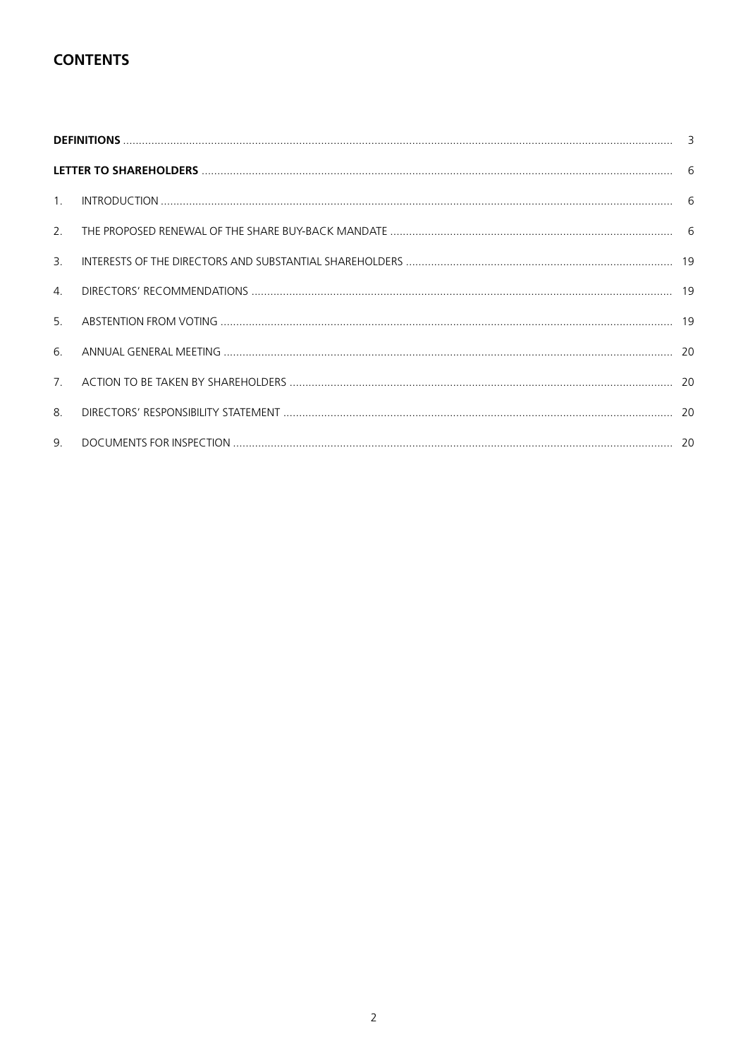## **CONTENTS**

| $\mathbf{1}$ .        |  |
|-----------------------|--|
| $\mathcal{P}$         |  |
| $\overline{3}$ .      |  |
| $\mathcal{A}_{\cdot}$ |  |
| 5.                    |  |
| 6                     |  |
| 7 <sub>1</sub>        |  |
| 8                     |  |
| 9.                    |  |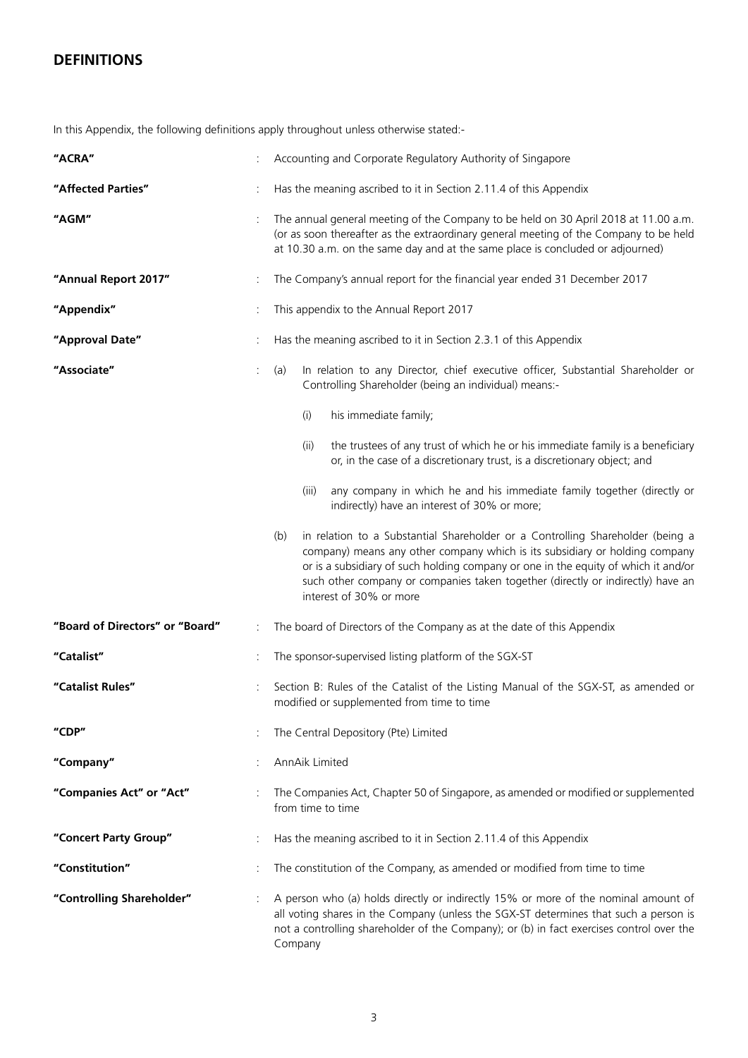# **DEFINITIONS**

In this Appendix, the following definitions apply throughout unless otherwise stated:-

| "ACRA"                          | Accounting and Corporate Regulatory Authority of Singapore                                                                                                                                                                                                                                                                                                               |  |  |
|---------------------------------|--------------------------------------------------------------------------------------------------------------------------------------------------------------------------------------------------------------------------------------------------------------------------------------------------------------------------------------------------------------------------|--|--|
| "Affected Parties"              | Has the meaning ascribed to it in Section 2.11.4 of this Appendix                                                                                                                                                                                                                                                                                                        |  |  |
| "AGM"                           | The annual general meeting of the Company to be held on 30 April 2018 at 11.00 a.m.<br>(or as soon thereafter as the extraordinary general meeting of the Company to be held<br>at 10.30 a.m. on the same day and at the same place is concluded or adjourned)                                                                                                           |  |  |
| "Annual Report 2017"            | The Company's annual report for the financial year ended 31 December 2017                                                                                                                                                                                                                                                                                                |  |  |
| "Appendix"                      | This appendix to the Annual Report 2017                                                                                                                                                                                                                                                                                                                                  |  |  |
| "Approval Date"                 | Has the meaning ascribed to it in Section 2.3.1 of this Appendix                                                                                                                                                                                                                                                                                                         |  |  |
| "Associate"                     | In relation to any Director, chief executive officer, Substantial Shareholder or<br>(a)<br>Controlling Shareholder (being an individual) means:-                                                                                                                                                                                                                         |  |  |
|                                 | (i)<br>his immediate family;                                                                                                                                                                                                                                                                                                                                             |  |  |
|                                 | the trustees of any trust of which he or his immediate family is a beneficiary<br>(ii)<br>or, in the case of a discretionary trust, is a discretionary object; and                                                                                                                                                                                                       |  |  |
|                                 | any company in which he and his immediate family together (directly or<br>(iii)<br>indirectly) have an interest of 30% or more;                                                                                                                                                                                                                                          |  |  |
|                                 | in relation to a Substantial Shareholder or a Controlling Shareholder (being a<br>(b)<br>company) means any other company which is its subsidiary or holding company<br>or is a subsidiary of such holding company or one in the equity of which it and/or<br>such other company or companies taken together (directly or indirectly) have an<br>interest of 30% or more |  |  |
| "Board of Directors" or "Board" | The board of Directors of the Company as at the date of this Appendix                                                                                                                                                                                                                                                                                                    |  |  |
| "Catalist"                      | The sponsor-supervised listing platform of the SGX-ST                                                                                                                                                                                                                                                                                                                    |  |  |
| "Catalist Rules"                | Section B: Rules of the Catalist of the Listing Manual of the SGX-ST, as amended or<br>modified or supplemented from time to time                                                                                                                                                                                                                                        |  |  |
| "CDP"                           | The Central Depository (Pte) Limited                                                                                                                                                                                                                                                                                                                                     |  |  |
| "Company"                       | AnnAik Limited                                                                                                                                                                                                                                                                                                                                                           |  |  |
| "Companies Act" or "Act"        | The Companies Act, Chapter 50 of Singapore, as amended or modified or supplemented<br>from time to time                                                                                                                                                                                                                                                                  |  |  |
| "Concert Party Group"           | Has the meaning ascribed to it in Section 2.11.4 of this Appendix                                                                                                                                                                                                                                                                                                        |  |  |
| "Constitution"                  | The constitution of the Company, as amended or modified from time to time                                                                                                                                                                                                                                                                                                |  |  |
| "Controlling Shareholder"       | A person who (a) holds directly or indirectly 15% or more of the nominal amount of<br>all voting shares in the Company (unless the SGX-ST determines that such a person is<br>not a controlling shareholder of the Company); or (b) in fact exercises control over the<br>Company                                                                                        |  |  |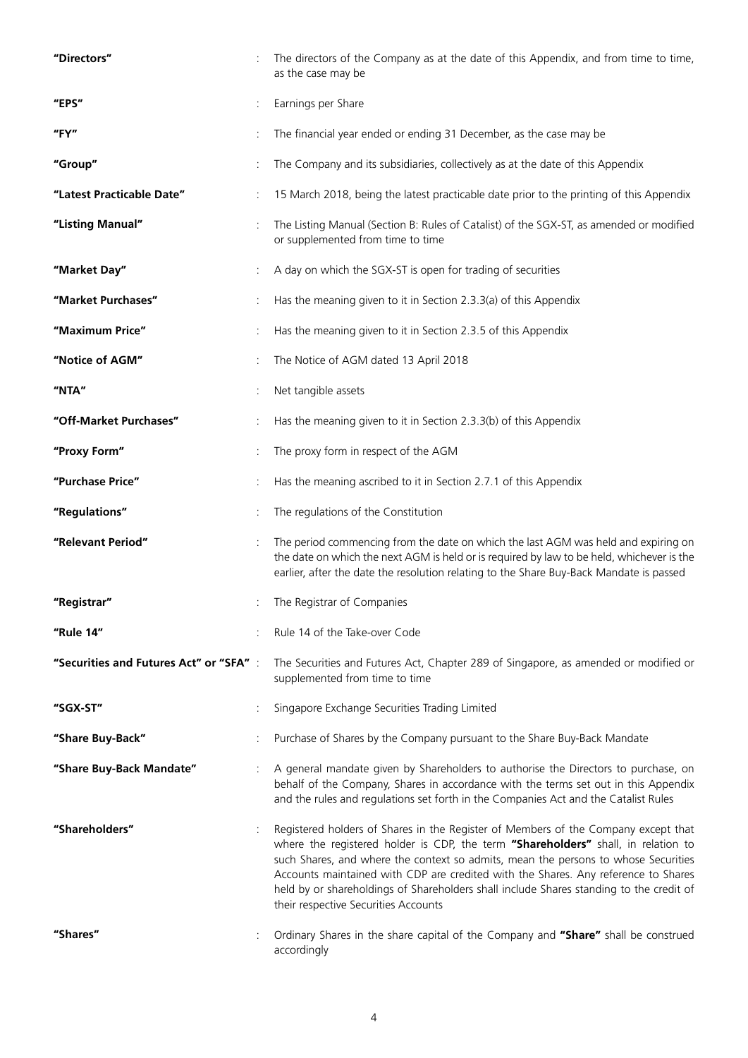| "Directors"                             | The directors of the Company as at the date of this Appendix, and from time to time,<br>as the case may be                                                                                                                                                                                                                                                                                                                                                                             |  |  |
|-----------------------------------------|----------------------------------------------------------------------------------------------------------------------------------------------------------------------------------------------------------------------------------------------------------------------------------------------------------------------------------------------------------------------------------------------------------------------------------------------------------------------------------------|--|--|
| "EPS"                                   | Earnings per Share                                                                                                                                                                                                                                                                                                                                                                                                                                                                     |  |  |
| "FY"                                    | The financial year ended or ending 31 December, as the case may be                                                                                                                                                                                                                                                                                                                                                                                                                     |  |  |
| "Group"                                 | The Company and its subsidiaries, collectively as at the date of this Appendix                                                                                                                                                                                                                                                                                                                                                                                                         |  |  |
| "Latest Practicable Date"               | 15 March 2018, being the latest practicable date prior to the printing of this Appendix                                                                                                                                                                                                                                                                                                                                                                                                |  |  |
| "Listing Manual"                        | The Listing Manual (Section B: Rules of Catalist) of the SGX-ST, as amended or modified<br>or supplemented from time to time                                                                                                                                                                                                                                                                                                                                                           |  |  |
| "Market Day"                            | A day on which the SGX-ST is open for trading of securities                                                                                                                                                                                                                                                                                                                                                                                                                            |  |  |
| "Market Purchases"                      | Has the meaning given to it in Section 2.3.3(a) of this Appendix                                                                                                                                                                                                                                                                                                                                                                                                                       |  |  |
| "Maximum Price"                         | Has the meaning given to it in Section 2.3.5 of this Appendix                                                                                                                                                                                                                                                                                                                                                                                                                          |  |  |
| "Notice of AGM"                         | The Notice of AGM dated 13 April 2018                                                                                                                                                                                                                                                                                                                                                                                                                                                  |  |  |
| "NTA"                                   | Net tangible assets                                                                                                                                                                                                                                                                                                                                                                                                                                                                    |  |  |
| "Off-Market Purchases"                  | Has the meaning given to it in Section 2.3.3(b) of this Appendix                                                                                                                                                                                                                                                                                                                                                                                                                       |  |  |
| "Proxy Form"                            | The proxy form in respect of the AGM                                                                                                                                                                                                                                                                                                                                                                                                                                                   |  |  |
| "Purchase Price"                        | Has the meaning ascribed to it in Section 2.7.1 of this Appendix                                                                                                                                                                                                                                                                                                                                                                                                                       |  |  |
| "Regulations"                           | The regulations of the Constitution                                                                                                                                                                                                                                                                                                                                                                                                                                                    |  |  |
| "Relevant Period"                       | The period commencing from the date on which the last AGM was held and expiring on<br>the date on which the next AGM is held or is required by law to be held, whichever is the<br>earlier, after the date the resolution relating to the Share Buy-Back Mandate is passed                                                                                                                                                                                                             |  |  |
| "Registrar"                             | The Registrar of Companies                                                                                                                                                                                                                                                                                                                                                                                                                                                             |  |  |
| "Rule 14"                               | Rule 14 of the Take-over Code                                                                                                                                                                                                                                                                                                                                                                                                                                                          |  |  |
| "Securities and Futures Act" or "SFA" : | The Securities and Futures Act, Chapter 289 of Singapore, as amended or modified or<br>supplemented from time to time                                                                                                                                                                                                                                                                                                                                                                  |  |  |
| "SGX-ST"                                | Singapore Exchange Securities Trading Limited                                                                                                                                                                                                                                                                                                                                                                                                                                          |  |  |
| "Share Buy-Back"                        | Purchase of Shares by the Company pursuant to the Share Buy-Back Mandate                                                                                                                                                                                                                                                                                                                                                                                                               |  |  |
| "Share Buy-Back Mandate"                | A general mandate given by Shareholders to authorise the Directors to purchase, on<br>behalf of the Company, Shares in accordance with the terms set out in this Appendix<br>and the rules and regulations set forth in the Companies Act and the Catalist Rules                                                                                                                                                                                                                       |  |  |
| "Shareholders"                          | Registered holders of Shares in the Register of Members of the Company except that<br>where the registered holder is CDP, the term "Shareholders" shall, in relation to<br>such Shares, and where the context so admits, mean the persons to whose Securities<br>Accounts maintained with CDP are credited with the Shares. Any reference to Shares<br>held by or shareholdings of Shareholders shall include Shares standing to the credit of<br>their respective Securities Accounts |  |  |
| "Shares"                                | Ordinary Shares in the share capital of the Company and "Share" shall be construed<br>accordingly                                                                                                                                                                                                                                                                                                                                                                                      |  |  |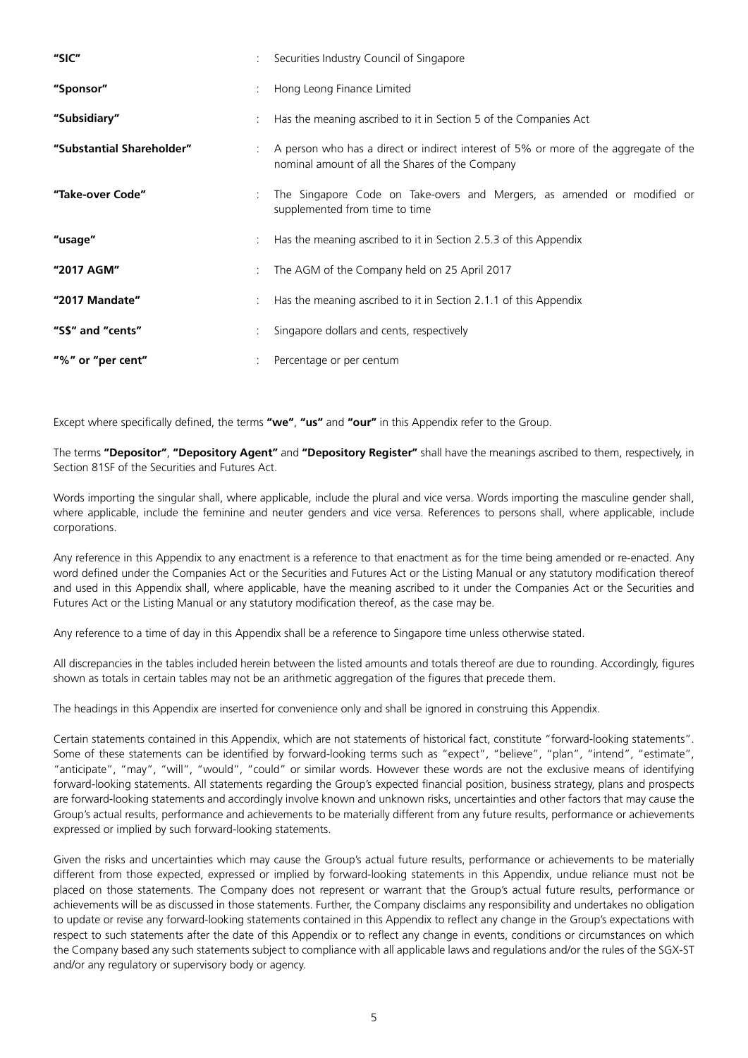| "SIC"                     | Securities Industry Council of Singapore                                                                                                |
|---------------------------|-----------------------------------------------------------------------------------------------------------------------------------------|
| "Sponsor"                 | Hong Leong Finance Limited                                                                                                              |
| "Subsidiary"              | Has the meaning ascribed to it in Section 5 of the Companies Act                                                                        |
| "Substantial Shareholder" | A person who has a direct or indirect interest of 5% or more of the aggregate of the<br>nominal amount of all the Shares of the Company |
| "Take-over Code"          | The Singapore Code on Take-overs and Mergers, as amended or modified or<br>supplemented from time to time                               |
| "usage"                   | Has the meaning ascribed to it in Section 2.5.3 of this Appendix                                                                        |
| "2017 AGM"                | The AGM of the Company held on 25 April 2017                                                                                            |
| "2017 Mandate"            | Has the meaning ascribed to it in Section 2.1.1 of this Appendix                                                                        |
| "S\$" and "cents"         | Singapore dollars and cents, respectively                                                                                               |
| "%" or "per cent"         | Percentage or per centum                                                                                                                |

Except where specifically defined, the terms **"we"**, **"us"** and **"our"** in this Appendix refer to the Group.

The terms **"Depositor"**, **"Depository Agent"** and **"Depository Register"** shall have the meanings ascribed to them, respectively, in Section 81SF of the Securities and Futures Act.

Words importing the singular shall, where applicable, include the plural and vice versa. Words importing the masculine gender shall, where applicable, include the feminine and neuter genders and vice versa. References to persons shall, where applicable, include corporations.

Any reference in this Appendix to any enactment is a reference to that enactment as for the time being amended or re-enacted. Any word defined under the Companies Act or the Securities and Futures Act or the Listing Manual or any statutory modification thereof and used in this Appendix shall, where applicable, have the meaning ascribed to it under the Companies Act or the Securities and Futures Act or the Listing Manual or any statutory modification thereof, as the case may be.

Any reference to a time of day in this Appendix shall be a reference to Singapore time unless otherwise stated.

All discrepancies in the tables included herein between the listed amounts and totals thereof are due to rounding. Accordingly, figures shown as totals in certain tables may not be an arithmetic aggregation of the figures that precede them.

The headings in this Appendix are inserted for convenience only and shall be ignored in construing this Appendix.

Certain statements contained in this Appendix, which are not statements of historical fact, constitute "forward-looking statements". Some of these statements can be identified by forward-looking terms such as "expect", "believe", "plan", "intend", "estimate", "anticipate", "may", "will", "would", "could" or similar words. However these words are not the exclusive means of identifying forward-looking statements. All statements regarding the Group's expected financial position, business strategy, plans and prospects are forward-looking statements and accordingly involve known and unknown risks, uncertainties and other factors that may cause the Group's actual results, performance and achievements to be materially different from any future results, performance or achievements expressed or implied by such forward-looking statements.

Given the risks and uncertainties which may cause the Group's actual future results, performance or achievements to be materially different from those expected, expressed or implied by forward-looking statements in this Appendix, undue reliance must not be placed on those statements. The Company does not represent or warrant that the Group's actual future results, performance or achievements will be as discussed in those statements. Further, the Company disclaims any responsibility and undertakes no obligation to update or revise any forward-looking statements contained in this Appendix to reflect any change in the Group's expectations with respect to such statements after the date of this Appendix or to reflect any change in events, conditions or circumstances on which the Company based any such statements subject to compliance with all applicable laws and regulations and/or the rules of the SGX-ST and/or any regulatory or supervisory body or agency.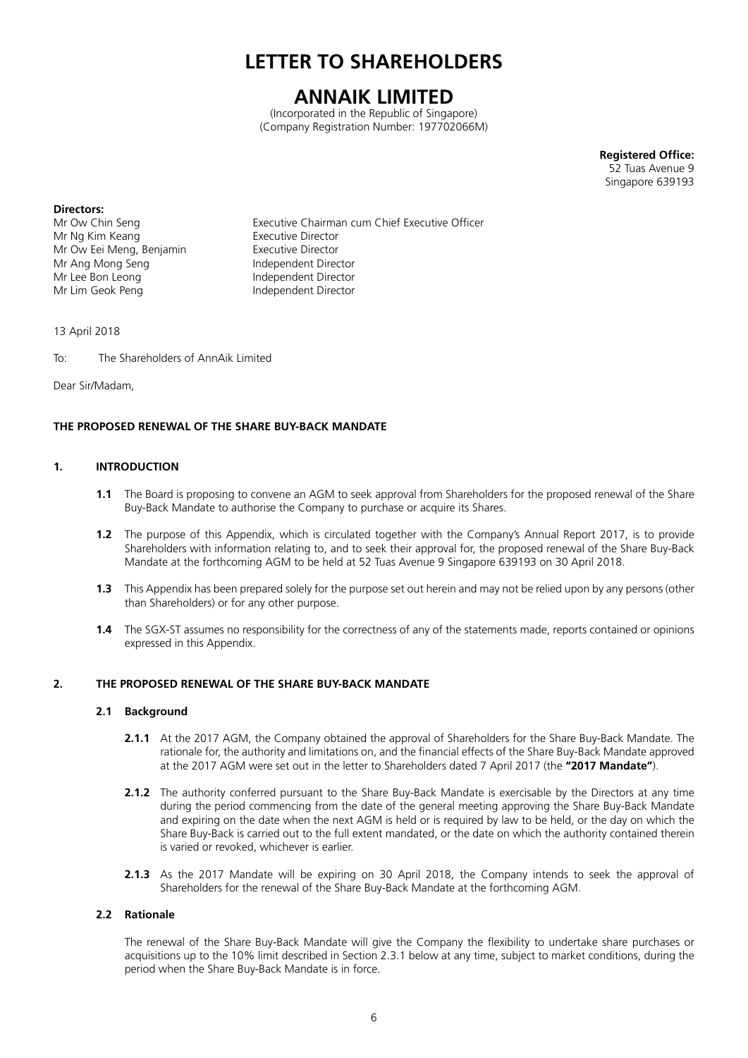# **LETTER TO SHAREHOLDERS**

# **ANNAIK LIMITED**

(Incorporated in the Republic of Singapore) (Company Registration Number: 197702066M)

> **Registered Office:** 52 Tuas Avenue 9 Singapore 639193

### **Directors:**

Mr Ng Kim Keang **Executive Director** Mr Ow Eei Meng, Benjamin Executive Director Mr Ang Mong Seng Independent Director Mr Lee Bon Leong Independent Director Mr Lim Geok Peng **Independent Director** 

Mr Ow Chin Seng Executive Chairman cum Chief Executive Officer

13 April 2018

To: The Shareholders of AnnAik Limited

Dear Sir/Madam,

### **THE PROPOSED RENEWAL OF THE SHARE BUY-BACK MANDATE**

### **1. INTRODUCTION**

- **1.1** The Board is proposing to convene an AGM to seek approval from Shareholders for the proposed renewal of the Share Buy-Back Mandate to authorise the Company to purchase or acquire its Shares.
- **1.2** The purpose of this Appendix, which is circulated together with the Company's Annual Report 2017, is to provide Shareholders with information relating to, and to seek their approval for, the proposed renewal of the Share Buy-Back Mandate at the forthcoming AGM to be held at 52 Tuas Avenue 9 Singapore 639193 on 30 April 2018.
- **1.3** This Appendix has been prepared solely for the purpose set out herein and may not be relied upon by any persons (other than Shareholders) or for any other purpose.
- **1.4** The SGX-ST assumes no responsibility for the correctness of any of the statements made, reports contained or opinions expressed in this Appendix.

### **2. THE PROPOSED RENEWAL OF THE SHARE BUY-BACK MANDATE**

### **2.1 Background**

- **2.1.1** At the 2017 AGM, the Company obtained the approval of Shareholders for the Share Buy-Back Mandate. The rationale for, the authority and limitations on, and the financial effects of the Share Buy-Back Mandate approved at the 2017 AGM were set out in the letter to Shareholders dated 7 April 2017 (the **"2017 Mandate"**).
- **2.1.2** The authority conferred pursuant to the Share Buy-Back Mandate is exercisable by the Directors at any time during the period commencing from the date of the general meeting approving the Share Buy-Back Mandate and expiring on the date when the next AGM is held or is required by law to be held, or the day on which the Share Buy-Back is carried out to the full extent mandated, or the date on which the authority contained therein is varied or revoked, whichever is earlier.
- **2.1.3** As the 2017 Mandate will be expiring on 30 April 2018, the Company intends to seek the approval of Shareholders for the renewal of the Share Buy-Back Mandate at the forthcoming AGM.

### **2.2 Rationale**

The renewal of the Share Buy-Back Mandate will give the Company the flexibility to undertake share purchases or acquisitions up to the 10% limit described in Section 2.3.1 below at any time, subject to market conditions, during the period when the Share Buy-Back Mandate is in force.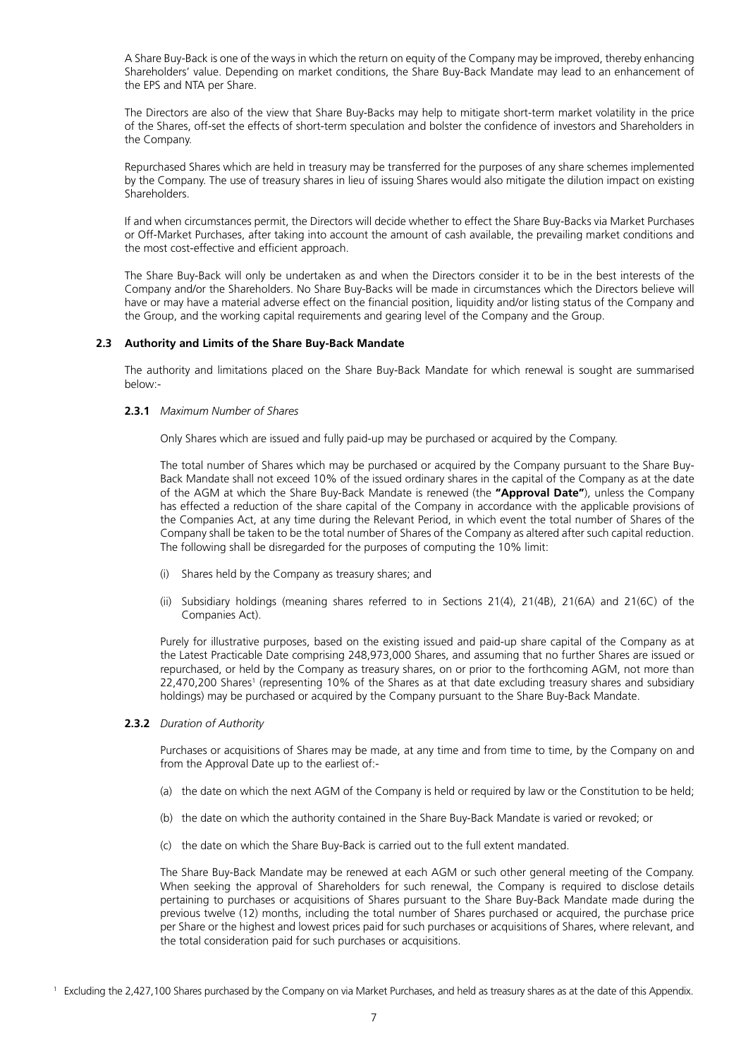A Share Buy-Back is one of the ways in which the return on equity of the Company may be improved, thereby enhancing Shareholders' value. Depending on market conditions, the Share Buy-Back Mandate may lead to an enhancement of the EPS and NTA per Share.

The Directors are also of the view that Share Buy-Backs may help to mitigate short-term market volatility in the price of the Shares, off-set the effects of short-term speculation and bolster the confidence of investors and Shareholders in the Company.

Repurchased Shares which are held in treasury may be transferred for the purposes of any share schemes implemented by the Company. The use of treasury shares in lieu of issuing Shares would also mitigate the dilution impact on existing Shareholders.

If and when circumstances permit, the Directors will decide whether to effect the Share Buy-Backs via Market Purchases or Off-Market Purchases, after taking into account the amount of cash available, the prevailing market conditions and the most cost-effective and efficient approach.

The Share Buy-Back will only be undertaken as and when the Directors consider it to be in the best interests of the Company and/or the Shareholders. No Share Buy-Backs will be made in circumstances which the Directors believe will have or may have a material adverse effect on the financial position, liquidity and/or listing status of the Company and the Group, and the working capital requirements and gearing level of the Company and the Group.

### **2.3 Authority and Limits of the Share Buy-Back Mandate**

The authority and limitations placed on the Share Buy-Back Mandate for which renewal is sought are summarised below:-

### **2.3.1** *Maximum Number of Shares*

Only Shares which are issued and fully paid-up may be purchased or acquired by the Company.

The total number of Shares which may be purchased or acquired by the Company pursuant to the Share Buy-Back Mandate shall not exceed 10% of the issued ordinary shares in the capital of the Company as at the date of the AGM at which the Share Buy-Back Mandate is renewed (the **"Approval Date"**), unless the Company has effected a reduction of the share capital of the Company in accordance with the applicable provisions of the Companies Act, at any time during the Relevant Period, in which event the total number of Shares of the Company shall be taken to be the total number of Shares of the Company as altered after such capital reduction. The following shall be disregarded for the purposes of computing the 10% limit:

- (i) Shares held by the Company as treasury shares; and
- (ii) Subsidiary holdings (meaning shares referred to in Sections 21(4), 21(4B), 21(6A) and 21(6C) of the Companies Act).

Purely for illustrative purposes, based on the existing issued and paid-up share capital of the Company as at the Latest Practicable Date comprising 248,973,000 Shares, and assuming that no further Shares are issued or repurchased, or held by the Company as treasury shares, on or prior to the forthcoming AGM, not more than 22,470,200 Shares<sup>1</sup> (representing 10% of the Shares as at that date excluding treasury shares and subsidiary holdings) may be purchased or acquired by the Company pursuant to the Share Buy-Back Mandate.

### **2.3.2** *Duration of Authority*

Purchases or acquisitions of Shares may be made, at any time and from time to time, by the Company on and from the Approval Date up to the earliest of:-

- (a) the date on which the next AGM of the Company is held or required by law or the Constitution to be held;
- (b) the date on which the authority contained in the Share Buy-Back Mandate is varied or revoked; or
- (c) the date on which the Share Buy-Back is carried out to the full extent mandated.

The Share Buy-Back Mandate may be renewed at each AGM or such other general meeting of the Company. When seeking the approval of Shareholders for such renewal, the Company is required to disclose details pertaining to purchases or acquisitions of Shares pursuant to the Share Buy-Back Mandate made during the previous twelve (12) months, including the total number of Shares purchased or acquired, the purchase price per Share or the highest and lowest prices paid for such purchases or acquisitions of Shares, where relevant, and the total consideration paid for such purchases or acquisitions.

<sup>1</sup> Excluding the 2,427,100 Shares purchased by the Company on via Market Purchases, and held as treasury shares as at the date of this Appendix.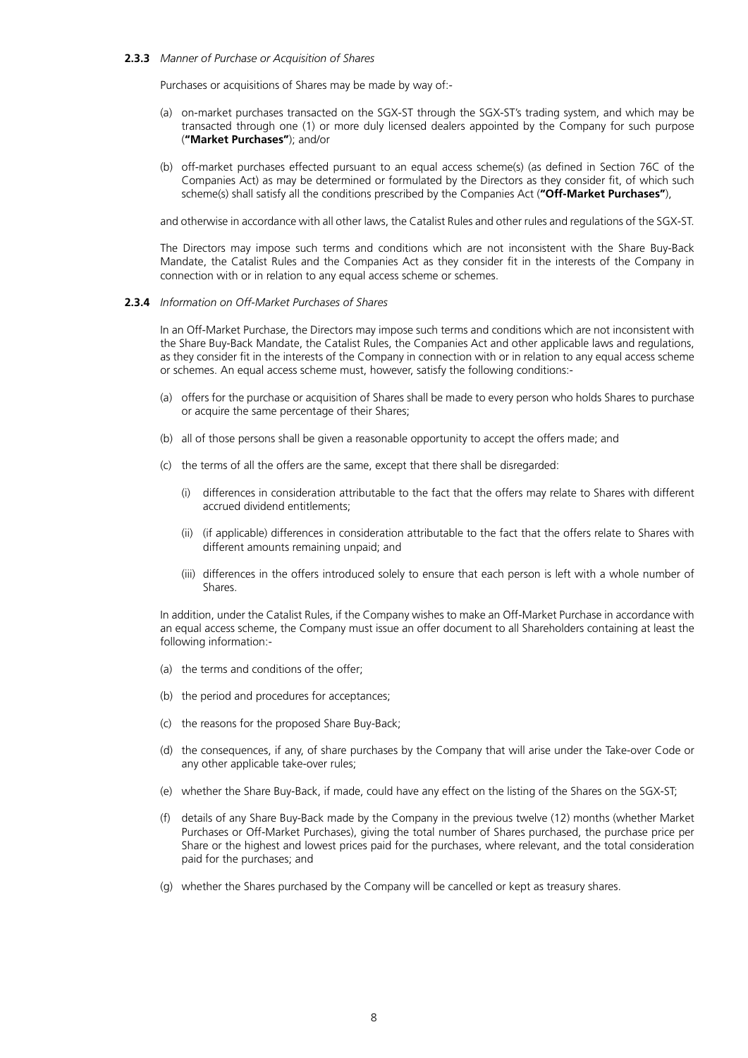### **2.3.3** *Manner of Purchase or Acquisition of Shares*

Purchases or acquisitions of Shares may be made by way of:-

- (a) on-market purchases transacted on the SGX-ST through the SGX-ST's trading system, and which may be transacted through one (1) or more duly licensed dealers appointed by the Company for such purpose (**"Market Purchases"**); and/or
- (b) off-market purchases effected pursuant to an equal access scheme(s) (as defined in Section 76C of the Companies Act) as may be determined or formulated by the Directors as they consider fit, of which such scheme(s) shall satisfy all the conditions prescribed by the Companies Act (**"Off-Market Purchases"**),

and otherwise in accordance with all other laws, the Catalist Rules and other rules and regulations of the SGX-ST.

The Directors may impose such terms and conditions which are not inconsistent with the Share Buy-Back Mandate, the Catalist Rules and the Companies Act as they consider fit in the interests of the Company in connection with or in relation to any equal access scheme or schemes.

### **2.3.4** *Information on Off-Market Purchases of Shares*

In an Off-Market Purchase, the Directors may impose such terms and conditions which are not inconsistent with the Share Buy-Back Mandate, the Catalist Rules, the Companies Act and other applicable laws and regulations, as they consider fit in the interests of the Company in connection with or in relation to any equal access scheme or schemes. An equal access scheme must, however, satisfy the following conditions:-

- (a) offers for the purchase or acquisition of Shares shall be made to every person who holds Shares to purchase or acquire the same percentage of their Shares;
- (b) all of those persons shall be given a reasonable opportunity to accept the offers made; and
- (c) the terms of all the offers are the same, except that there shall be disregarded:
	- (i) differences in consideration attributable to the fact that the offers may relate to Shares with different accrued dividend entitlements;
	- (ii) (if applicable) differences in consideration attributable to the fact that the offers relate to Shares with different amounts remaining unpaid; and
	- (iii) differences in the offers introduced solely to ensure that each person is left with a whole number of Shares.

In addition, under the Catalist Rules, if the Company wishes to make an Off-Market Purchase in accordance with an equal access scheme, the Company must issue an offer document to all Shareholders containing at least the following information:-

- (a) the terms and conditions of the offer;
- (b) the period and procedures for acceptances;
- (c) the reasons for the proposed Share Buy-Back;
- (d) the consequences, if any, of share purchases by the Company that will arise under the Take-over Code or any other applicable take-over rules;
- (e) whether the Share Buy-Back, if made, could have any effect on the listing of the Shares on the SGX-ST;
- (f) details of any Share Buy-Back made by the Company in the previous twelve (12) months (whether Market Purchases or Off-Market Purchases), giving the total number of Shares purchased, the purchase price per Share or the highest and lowest prices paid for the purchases, where relevant, and the total consideration paid for the purchases; and
- (g) whether the Shares purchased by the Company will be cancelled or kept as treasury shares.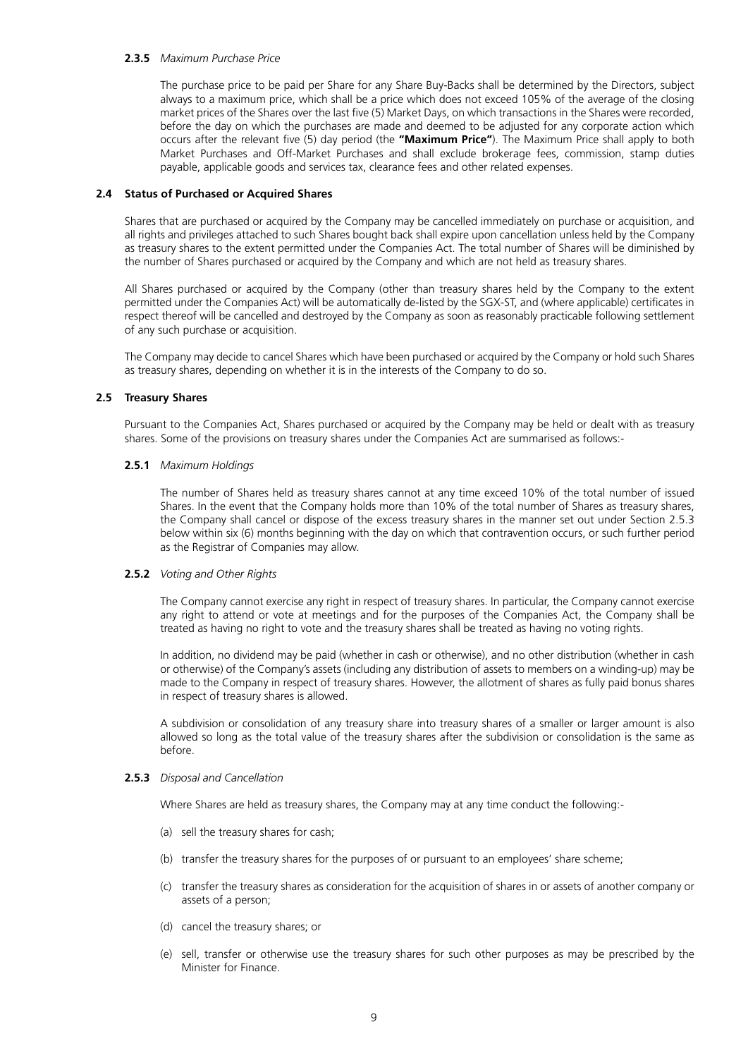### **2.3.5** *Maximum Purchase Price*

The purchase price to be paid per Share for any Share Buy-Backs shall be determined by the Directors, subject always to a maximum price, which shall be a price which does not exceed 105% of the average of the closing market prices of the Shares over the last five (5) Market Days, on which transactions in the Shares were recorded, before the day on which the purchases are made and deemed to be adjusted for any corporate action which occurs after the relevant five (5) day period (the **"Maximum Price"**). The Maximum Price shall apply to both Market Purchases and Off-Market Purchases and shall exclude brokerage fees, commission, stamp duties payable, applicable goods and services tax, clearance fees and other related expenses.

### **2.4 Status of Purchased or Acquired Shares**

Shares that are purchased or acquired by the Company may be cancelled immediately on purchase or acquisition, and all rights and privileges attached to such Shares bought back shall expire upon cancellation unless held by the Company as treasury shares to the extent permitted under the Companies Act. The total number of Shares will be diminished by the number of Shares purchased or acquired by the Company and which are not held as treasury shares.

All Shares purchased or acquired by the Company (other than treasury shares held by the Company to the extent permitted under the Companies Act) will be automatically de-listed by the SGX-ST, and (where applicable) certificates in respect thereof will be cancelled and destroyed by the Company as soon as reasonably practicable following settlement of any such purchase or acquisition.

The Company may decide to cancel Shares which have been purchased or acquired by the Company or hold such Shares as treasury shares, depending on whether it is in the interests of the Company to do so.

### **2.5 Treasury Shares**

Pursuant to the Companies Act, Shares purchased or acquired by the Company may be held or dealt with as treasury shares. Some of the provisions on treasury shares under the Companies Act are summarised as follows:-

### **2.5.1** *Maximum Holdings*

The number of Shares held as treasury shares cannot at any time exceed 10% of the total number of issued Shares. In the event that the Company holds more than 10% of the total number of Shares as treasury shares, the Company shall cancel or dispose of the excess treasury shares in the manner set out under Section 2.5.3 below within six (6) months beginning with the day on which that contravention occurs, or such further period as the Registrar of Companies may allow.

#### **2.5.2** *Voting and Other Rights*

The Company cannot exercise any right in respect of treasury shares. In particular, the Company cannot exercise any right to attend or vote at meetings and for the purposes of the Companies Act, the Company shall be treated as having no right to vote and the treasury shares shall be treated as having no voting rights.

In addition, no dividend may be paid (whether in cash or otherwise), and no other distribution (whether in cash or otherwise) of the Company's assets (including any distribution of assets to members on a winding-up) may be made to the Company in respect of treasury shares. However, the allotment of shares as fully paid bonus shares in respect of treasury shares is allowed.

A subdivision or consolidation of any treasury share into treasury shares of a smaller or larger amount is also allowed so long as the total value of the treasury shares after the subdivision or consolidation is the same as before.

### **2.5.3** *Disposal and Cancellation*

Where Shares are held as treasury shares, the Company may at any time conduct the following:-

- (a) sell the treasury shares for cash;
- (b) transfer the treasury shares for the purposes of or pursuant to an employees' share scheme;
- (c) transfer the treasury shares as consideration for the acquisition of shares in or assets of another company or assets of a person;
- (d) cancel the treasury shares; or
- (e) sell, transfer or otherwise use the treasury shares for such other purposes as may be prescribed by the Minister for Finance.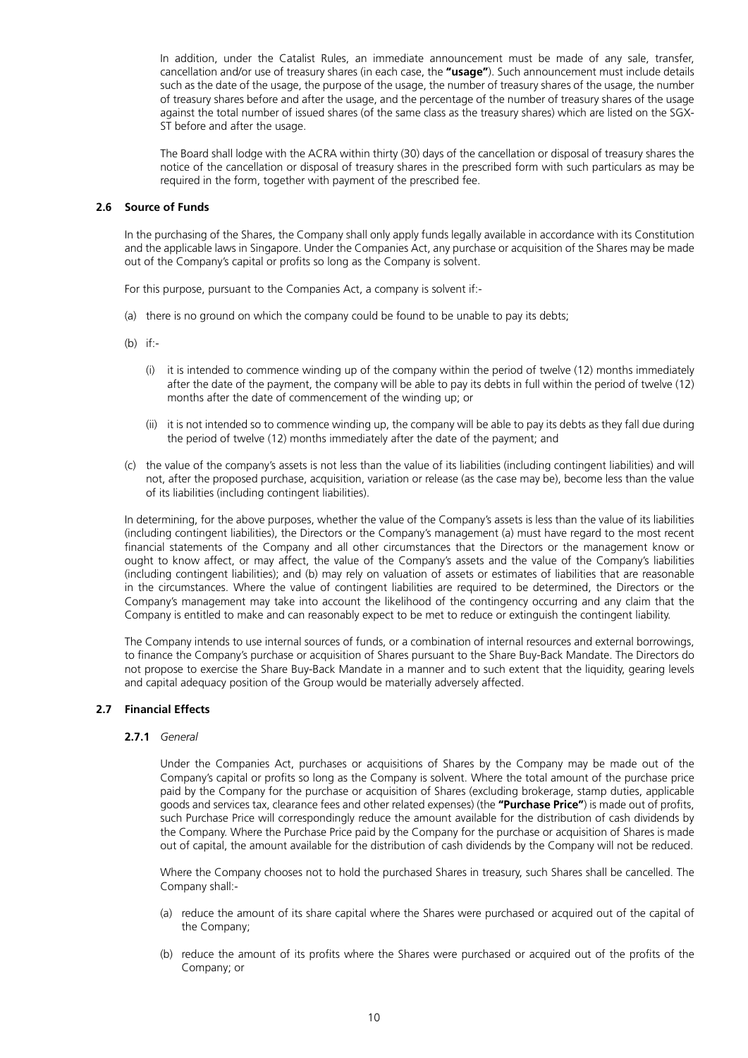In addition, under the Catalist Rules, an immediate announcement must be made of any sale, transfer, cancellation and/or use of treasury shares (in each case, the **"usage"**). Such announcement must include details such as the date of the usage, the purpose of the usage, the number of treasury shares of the usage, the number of treasury shares before and after the usage, and the percentage of the number of treasury shares of the usage against the total number of issued shares (of the same class as the treasury shares) which are listed on the SGX-ST before and after the usage.

The Board shall lodge with the ACRA within thirty (30) days of the cancellation or disposal of treasury shares the notice of the cancellation or disposal of treasury shares in the prescribed form with such particulars as may be required in the form, together with payment of the prescribed fee.

### **2.6 Source of Funds**

In the purchasing of the Shares, the Company shall only apply funds legally available in accordance with its Constitution and the applicable laws in Singapore. Under the Companies Act, any purchase or acquisition of the Shares may be made out of the Company's capital or profits so long as the Company is solvent.

For this purpose, pursuant to the Companies Act, a company is solvent if:-

- (a) there is no ground on which the company could be found to be unable to pay its debts;
- (b) if:-
	- $(i)$  it is intended to commence winding up of the company within the period of twelve (12) months immediately after the date of the payment, the company will be able to pay its debts in full within the period of twelve (12) months after the date of commencement of the winding up; or
	- (ii) it is not intended so to commence winding up, the company will be able to pay its debts as they fall due during the period of twelve (12) months immediately after the date of the payment; and
- (c) the value of the company's assets is not less than the value of its liabilities (including contingent liabilities) and will not, after the proposed purchase, acquisition, variation or release (as the case may be), become less than the value of its liabilities (including contingent liabilities).

In determining, for the above purposes, whether the value of the Company's assets is less than the value of its liabilities (including contingent liabilities), the Directors or the Company's management (a) must have regard to the most recent financial statements of the Company and all other circumstances that the Directors or the management know or ought to know affect, or may affect, the value of the Company's assets and the value of the Company's liabilities (including contingent liabilities); and (b) may rely on valuation of assets or estimates of liabilities that are reasonable in the circumstances. Where the value of contingent liabilities are required to be determined, the Directors or the Company's management may take into account the likelihood of the contingency occurring and any claim that the Company is entitled to make and can reasonably expect to be met to reduce or extinguish the contingent liability.

The Company intends to use internal sources of funds, or a combination of internal resources and external borrowings, to finance the Company's purchase or acquisition of Shares pursuant to the Share Buy-Back Mandate. The Directors do not propose to exercise the Share Buy-Back Mandate in a manner and to such extent that the liquidity, gearing levels and capital adequacy position of the Group would be materially adversely affected.

### **2.7 Financial Effects**

### **2.7.1** *General*

Under the Companies Act, purchases or acquisitions of Shares by the Company may be made out of the Company's capital or profits so long as the Company is solvent. Where the total amount of the purchase price paid by the Company for the purchase or acquisition of Shares (excluding brokerage, stamp duties, applicable goods and services tax, clearance fees and other related expenses) (the **"Purchase Price"**) is made out of profits, such Purchase Price will correspondingly reduce the amount available for the distribution of cash dividends by the Company. Where the Purchase Price paid by the Company for the purchase or acquisition of Shares is made out of capital, the amount available for the distribution of cash dividends by the Company will not be reduced.

Where the Company chooses not to hold the purchased Shares in treasury, such Shares shall be cancelled. The Company shall:-

- (a) reduce the amount of its share capital where the Shares were purchased or acquired out of the capital of the Company;
- (b) reduce the amount of its profits where the Shares were purchased or acquired out of the profits of the Company; or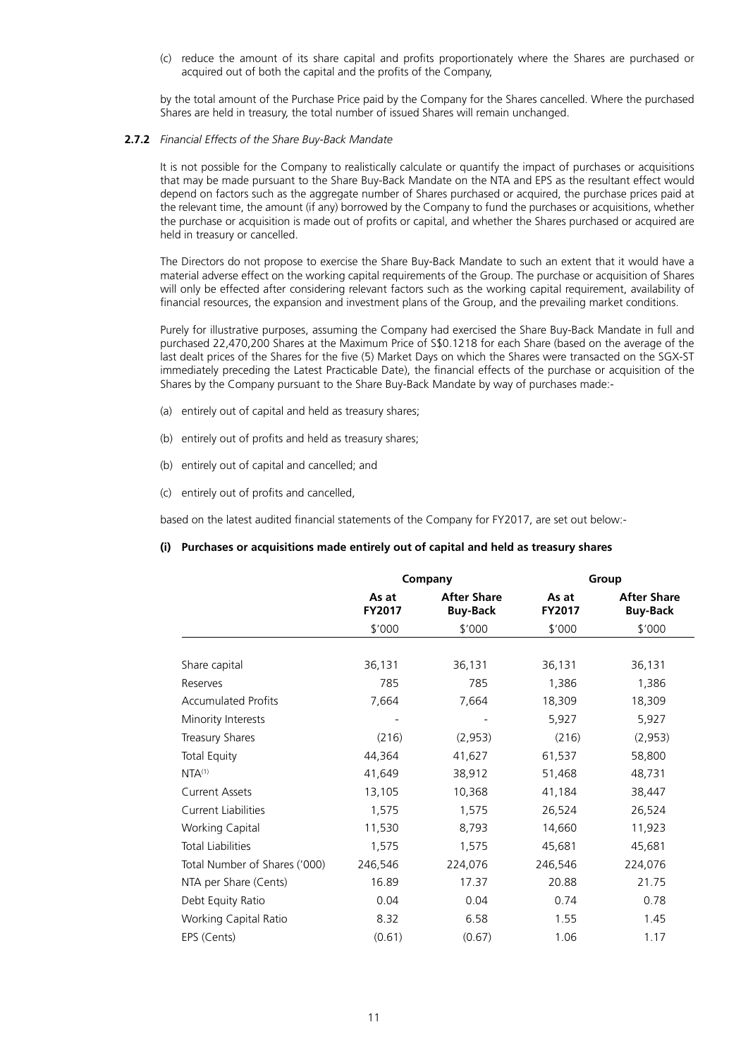(c) reduce the amount of its share capital and profits proportionately where the Shares are purchased or acquired out of both the capital and the profits of the Company,

by the total amount of the Purchase Price paid by the Company for the Shares cancelled. Where the purchased Shares are held in treasury, the total number of issued Shares will remain unchanged.

### **2.7.2** *Financial Effects of the Share Buy-Back Mandate*

It is not possible for the Company to realistically calculate or quantify the impact of purchases or acquisitions that may be made pursuant to the Share Buy-Back Mandate on the NTA and EPS as the resultant effect would depend on factors such as the aggregate number of Shares purchased or acquired, the purchase prices paid at the relevant time, the amount (if any) borrowed by the Company to fund the purchases or acquisitions, whether the purchase or acquisition is made out of profits or capital, and whether the Shares purchased or acquired are held in treasury or cancelled.

The Directors do not propose to exercise the Share Buy-Back Mandate to such an extent that it would have a material adverse effect on the working capital requirements of the Group. The purchase or acquisition of Shares will only be effected after considering relevant factors such as the working capital requirement, availability of financial resources, the expansion and investment plans of the Group, and the prevailing market conditions.

Purely for illustrative purposes, assuming the Company had exercised the Share Buy-Back Mandate in full and purchased 22,470,200 Shares at the Maximum Price of S\$0.1218 for each Share (based on the average of the last dealt prices of the Shares for the five (5) Market Days on which the Shares were transacted on the SGX-ST immediately preceding the Latest Practicable Date), the financial effects of the purchase or acquisition of the Shares by the Company pursuant to the Share Buy-Back Mandate by way of purchases made:-

- (a) entirely out of capital and held as treasury shares;
- (b) entirely out of profits and held as treasury shares;
- (b) entirely out of capital and cancelled; and
- (c) entirely out of profits and cancelled,

based on the latest audited financial statements of the Company for FY2017, are set out below:-

### **(i) Purchases or acquisitions made entirely out of capital and held as treasury shares**

|                               |                        | Company                               |                 | Group                                 |
|-------------------------------|------------------------|---------------------------------------|-----------------|---------------------------------------|
|                               | As at<br><b>FY2017</b> | <b>After Share</b><br><b>Buy-Back</b> | As at<br>FY2017 | <b>After Share</b><br><b>Buy-Back</b> |
|                               | \$'000                 | \$'000                                | \$'000          | \$'000                                |
|                               |                        |                                       |                 |                                       |
| Share capital                 | 36,131                 | 36,131                                | 36,131          | 36,131                                |
| Reserves                      | 785                    | 785                                   | 1,386           | 1,386                                 |
| <b>Accumulated Profits</b>    | 7,664                  | 7,664                                 | 18,309          | 18,309                                |
| Minority Interests            |                        |                                       | 5,927           | 5,927                                 |
| Treasury Shares               | (216)                  | (2,953)                               | (216)           | (2,953)                               |
| <b>Total Equity</b>           | 44,364                 | 41,627                                | 61,537          | 58,800                                |
| $NTA^{(1)}$                   | 41,649                 | 38,912                                | 51,468          | 48,731                                |
| <b>Current Assets</b>         | 13,105                 | 10,368                                | 41,184          | 38,447                                |
| <b>Current Liabilities</b>    | 1,575                  | 1,575                                 | 26,524          | 26,524                                |
| Working Capital               | 11,530                 | 8,793                                 | 14,660          | 11,923                                |
| <b>Total Liabilities</b>      | 1,575                  | 1,575                                 | 45,681          | 45,681                                |
| Total Number of Shares ('000) | 246,546                | 224,076                               | 246,546         | 224,076                               |
| NTA per Share (Cents)         | 16.89                  | 17.37                                 | 20.88           | 21.75                                 |
| Debt Equity Ratio             | 0.04                   | 0.04                                  | 0.74            | 0.78                                  |
| Working Capital Ratio         | 8.32                   | 6.58                                  | 1.55            | 1.45                                  |
| EPS (Cents)                   | (0.61)                 | (0.67)                                | 1.06            | 1.17                                  |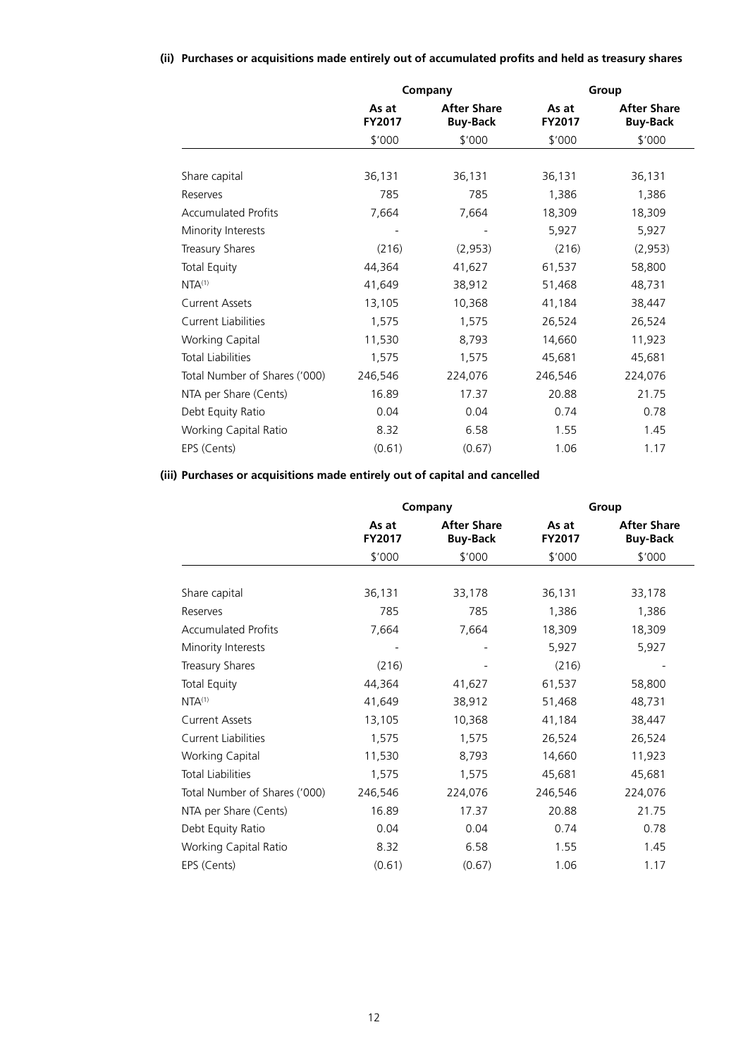### **(ii) Purchases or acquisitions made entirely out of accumulated profits and held as treasury shares**

|                               |                        | Company                               | Group                  |                                       |  |
|-------------------------------|------------------------|---------------------------------------|------------------------|---------------------------------------|--|
|                               | As at<br><b>FY2017</b> | <b>After Share</b><br><b>Buy-Back</b> | As at<br><b>FY2017</b> | <b>After Share</b><br><b>Buy-Back</b> |  |
|                               | \$'000                 | \$'000                                | \$'000                 | \$'000                                |  |
|                               |                        |                                       |                        |                                       |  |
| Share capital                 | 36,131                 | 36,131                                | 36,131                 | 36,131                                |  |
| Reserves                      | 785                    | 785                                   | 1,386                  | 1,386                                 |  |
| <b>Accumulated Profits</b>    | 7,664                  | 7,664                                 | 18,309                 | 18,309                                |  |
| Minority Interests            |                        |                                       | 5,927                  | 5,927                                 |  |
| Treasury Shares               | (216)                  | (2,953)                               | (216)                  | (2,953)                               |  |
| <b>Total Equity</b>           | 44,364                 | 41,627                                | 61,537                 | 58,800                                |  |
| NTA <sup>(1)</sup>            | 41,649                 | 38,912                                | 51,468                 | 48,731                                |  |
| <b>Current Assets</b>         | 13,105                 | 10,368                                | 41,184                 | 38,447                                |  |
| <b>Current Liabilities</b>    | 1,575                  | 1,575                                 | 26,524                 | 26,524                                |  |
| <b>Working Capital</b>        | 11,530                 | 8,793                                 | 14,660                 | 11,923                                |  |
| <b>Total Liabilities</b>      | 1,575                  | 1,575                                 | 45,681                 | 45,681                                |  |
| Total Number of Shares ('000) | 246,546                | 224,076                               | 246,546                | 224,076                               |  |
| NTA per Share (Cents)         | 16.89                  | 17.37                                 | 20.88                  | 21.75                                 |  |
| Debt Equity Ratio             | 0.04                   | 0.04                                  | 0.74                   | 0.78                                  |  |
| Working Capital Ratio         | 8.32                   | 6.58                                  | 1.55                   | 1.45                                  |  |
| EPS (Cents)                   | (0.61)                 | (0.67)                                | 1.06                   | 1.17                                  |  |

### **(iii) Purchases or acquisitions made entirely out of capital and cancelled**

|                               |                        | Company                               |                 | Group                                 |
|-------------------------------|------------------------|---------------------------------------|-----------------|---------------------------------------|
|                               | As at<br><b>FY2017</b> | <b>After Share</b><br><b>Buy-Back</b> | As at<br>FY2017 | <b>After Share</b><br><b>Buy-Back</b> |
|                               | \$'000                 | \$'000                                | \$'000          | \$'000                                |
|                               |                        |                                       |                 |                                       |
| Share capital                 | 36,131                 | 33,178                                | 36,131          | 33,178                                |
| Reserves                      | 785                    | 785                                   | 1,386           | 1,386                                 |
| <b>Accumulated Profits</b>    | 7,664                  | 7,664                                 | 18,309          | 18,309                                |
| Minority Interests            |                        |                                       | 5,927           | 5,927                                 |
| Treasury Shares               | (216)                  |                                       | (216)           |                                       |
| <b>Total Equity</b>           | 44,364                 | 41,627                                | 61,537          | 58,800                                |
| $NTA^{(1)}$                   | 41,649                 | 38,912                                | 51,468          | 48,731                                |
| <b>Current Assets</b>         | 13,105                 | 10,368                                | 41,184          | 38,447                                |
| Current Liabilities           | 1,575                  | 1,575                                 | 26,524          | 26,524                                |
| <b>Working Capital</b>        | 11,530                 | 8,793                                 | 14,660          | 11,923                                |
| <b>Total Liabilities</b>      | 1,575                  | 1,575                                 | 45,681          | 45,681                                |
| Total Number of Shares ('000) | 246,546                | 224,076                               | 246,546         | 224,076                               |
| NTA per Share (Cents)         | 16.89                  | 17.37                                 | 20.88           | 21.75                                 |
| Debt Equity Ratio             | 0.04                   | 0.04                                  | 0.74            | 0.78                                  |
| Working Capital Ratio         | 8.32                   | 6.58                                  | 1.55            | 1.45                                  |
| EPS (Cents)                   | (0.61)                 | (0.67)                                | 1.06            | 1.17                                  |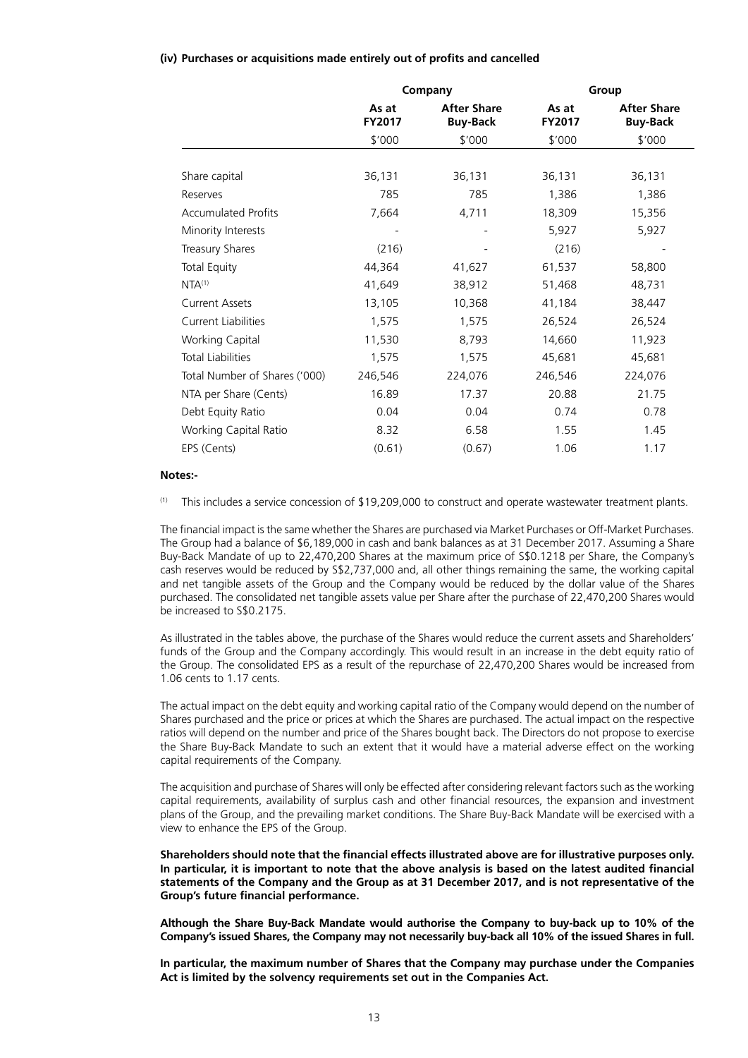### **(iv) Purchases or acquisitions made entirely out of profits and cancelled**

|                               |                 | Company                               | Group           |                                       |  |
|-------------------------------|-----------------|---------------------------------------|-----------------|---------------------------------------|--|
|                               | As at<br>FY2017 | <b>After Share</b><br><b>Buy-Back</b> | As at<br>FY2017 | <b>After Share</b><br><b>Buy-Back</b> |  |
|                               | \$'000          | \$'000                                | \$'000          | \$'000                                |  |
|                               |                 |                                       |                 |                                       |  |
| Share capital                 | 36,131          | 36,131                                | 36,131          | 36,131                                |  |
| Reserves                      | 785             | 785                                   | 1,386           | 1,386                                 |  |
| <b>Accumulated Profits</b>    | 7,664           | 4,711                                 | 18,309          | 15,356                                |  |
| Minority Interests            |                 |                                       | 5,927           | 5,927                                 |  |
| <b>Treasury Shares</b>        | (216)           |                                       | (216)           |                                       |  |
| <b>Total Equity</b>           | 44,364          | 41,627                                | 61,537          | 58,800                                |  |
| NTA <sup>(1)</sup>            | 41,649          | 38,912                                | 51,468          | 48,731                                |  |
| <b>Current Assets</b>         | 13,105          | 10,368                                | 41,184          | 38,447                                |  |
| <b>Current Liabilities</b>    | 1,575           | 1,575                                 | 26,524          | 26,524                                |  |
| <b>Working Capital</b>        | 11,530          | 8,793                                 | 14,660          | 11,923                                |  |
| <b>Total Liabilities</b>      | 1,575           | 1,575                                 | 45,681          | 45,681                                |  |
| Total Number of Shares ('000) | 246,546         | 224,076                               | 246,546         | 224,076                               |  |
| NTA per Share (Cents)         | 16.89           | 17.37                                 | 20.88           | 21.75                                 |  |
| Debt Equity Ratio             | 0.04            | 0.04                                  | 0.74            | 0.78                                  |  |
| Working Capital Ratio         | 8.32            | 6.58                                  | 1.55            | 1.45                                  |  |
| EPS (Cents)                   | (0.61)          | (0.67)                                | 1.06            | 1.17                                  |  |

#### **Notes:-**

 $(1)$  This includes a service concession of \$19,209,000 to construct and operate wastewater treatment plants.

The financial impact is the same whether the Shares are purchased via Market Purchases or Off-Market Purchases. The Group had a balance of \$6,189,000 in cash and bank balances as at 31 December 2017. Assuming a Share Buy-Back Mandate of up to 22,470,200 Shares at the maximum price of S\$0.1218 per Share, the Company's cash reserves would be reduced by S\$2,737,000 and, all other things remaining the same, the working capital and net tangible assets of the Group and the Company would be reduced by the dollar value of the Shares purchased. The consolidated net tangible assets value per Share after the purchase of 22,470,200 Shares would be increased to S\$0.2175.

As illustrated in the tables above, the purchase of the Shares would reduce the current assets and Shareholders' funds of the Group and the Company accordingly. This would result in an increase in the debt equity ratio of the Group. The consolidated EPS as a result of the repurchase of 22,470,200 Shares would be increased from 1.06 cents to 1.17 cents.

The actual impact on the debt equity and working capital ratio of the Company would depend on the number of Shares purchased and the price or prices at which the Shares are purchased. The actual impact on the respective ratios will depend on the number and price of the Shares bought back. The Directors do not propose to exercise the Share Buy-Back Mandate to such an extent that it would have a material adverse effect on the working capital requirements of the Company.

The acquisition and purchase of Shares will only be effected after considering relevant factors such as the working capital requirements, availability of surplus cash and other financial resources, the expansion and investment plans of the Group, and the prevailing market conditions. The Share Buy-Back Mandate will be exercised with a view to enhance the EPS of the Group.

**Shareholders should note that the financial effects illustrated above are for illustrative purposes only. In particular, it is important to note that the above analysis is based on the latest audited financial statements of the Company and the Group as at 31 December 2017, and is not representative of the Group's future financial performance.**

**Although the Share Buy-Back Mandate would authorise the Company to buy-back up to 10% of the Company's issued Shares, the Company may not necessarily buy-back all 10% of the issued Shares in full.**

**In particular, the maximum number of Shares that the Company may purchase under the Companies Act is limited by the solvency requirements set out in the Companies Act.**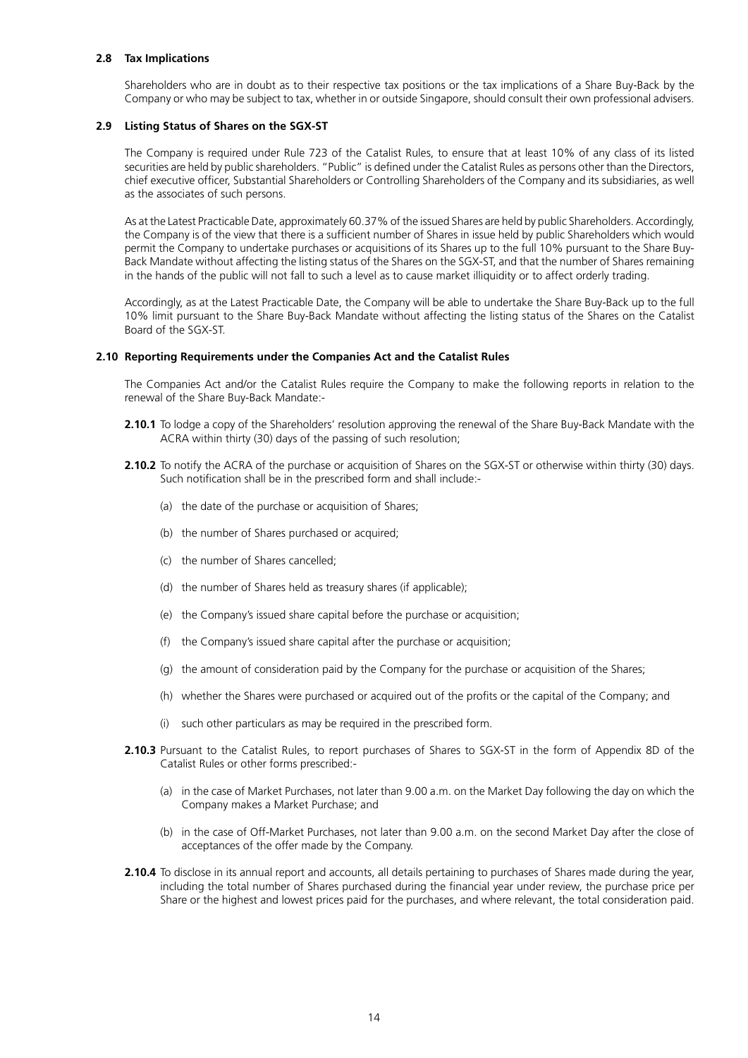### **2.8 Tax Implications**

Shareholders who are in doubt as to their respective tax positions or the tax implications of a Share Buy-Back by the Company or who may be subject to tax, whether in or outside Singapore, should consult their own professional advisers.

### **2.9 Listing Status of Shares on the SGX-ST**

The Company is required under Rule 723 of the Catalist Rules, to ensure that at least 10% of any class of its listed securities are held by public shareholders. "Public" is defined under the Catalist Rules as persons other than the Directors, chief executive officer, Substantial Shareholders or Controlling Shareholders of the Company and its subsidiaries, as well as the associates of such persons.

As at the Latest Practicable Date, approximately 60.37% of the issued Shares are held by public Shareholders. Accordingly, the Company is of the view that there is a sufficient number of Shares in issue held by public Shareholders which would permit the Company to undertake purchases or acquisitions of its Shares up to the full 10% pursuant to the Share Buy-Back Mandate without affecting the listing status of the Shares on the SGX-ST, and that the number of Shares remaining in the hands of the public will not fall to such a level as to cause market illiquidity or to affect orderly trading.

Accordingly, as at the Latest Practicable Date, the Company will be able to undertake the Share Buy-Back up to the full 10% limit pursuant to the Share Buy-Back Mandate without affecting the listing status of the Shares on the Catalist Board of the SGX-ST.

#### **2.10 Reporting Requirements under the Companies Act and the Catalist Rules**

The Companies Act and/or the Catalist Rules require the Company to make the following reports in relation to the renewal of the Share Buy-Back Mandate:-

- **2.10.1** To lodge a copy of the Shareholders' resolution approving the renewal of the Share Buy-Back Mandate with the ACRA within thirty (30) days of the passing of such resolution;
- **2.10.2** To notify the ACRA of the purchase or acquisition of Shares on the SGX-ST or otherwise within thirty (30) days. Such notification shall be in the prescribed form and shall include:-
	- (a) the date of the purchase or acquisition of Shares;
	- (b) the number of Shares purchased or acquired;
	- (c) the number of Shares cancelled;
	- (d) the number of Shares held as treasury shares (if applicable);
	- (e) the Company's issued share capital before the purchase or acquisition;
	- (f) the Company's issued share capital after the purchase or acquisition;
	- (g) the amount of consideration paid by the Company for the purchase or acquisition of the Shares;
	- (h) whether the Shares were purchased or acquired out of the profits or the capital of the Company; and
	- (i) such other particulars as may be required in the prescribed form.
- **2.10.3** Pursuant to the Catalist Rules, to report purchases of Shares to SGX-ST in the form of Appendix 8D of the Catalist Rules or other forms prescribed:-
	- (a) in the case of Market Purchases, not later than 9.00 a.m. on the Market Day following the day on which the Company makes a Market Purchase; and
	- (b) in the case of Off-Market Purchases, not later than 9.00 a.m. on the second Market Day after the close of acceptances of the offer made by the Company.
- **2.10.4** To disclose in its annual report and accounts, all details pertaining to purchases of Shares made during the year, including the total number of Shares purchased during the financial year under review, the purchase price per Share or the highest and lowest prices paid for the purchases, and where relevant, the total consideration paid.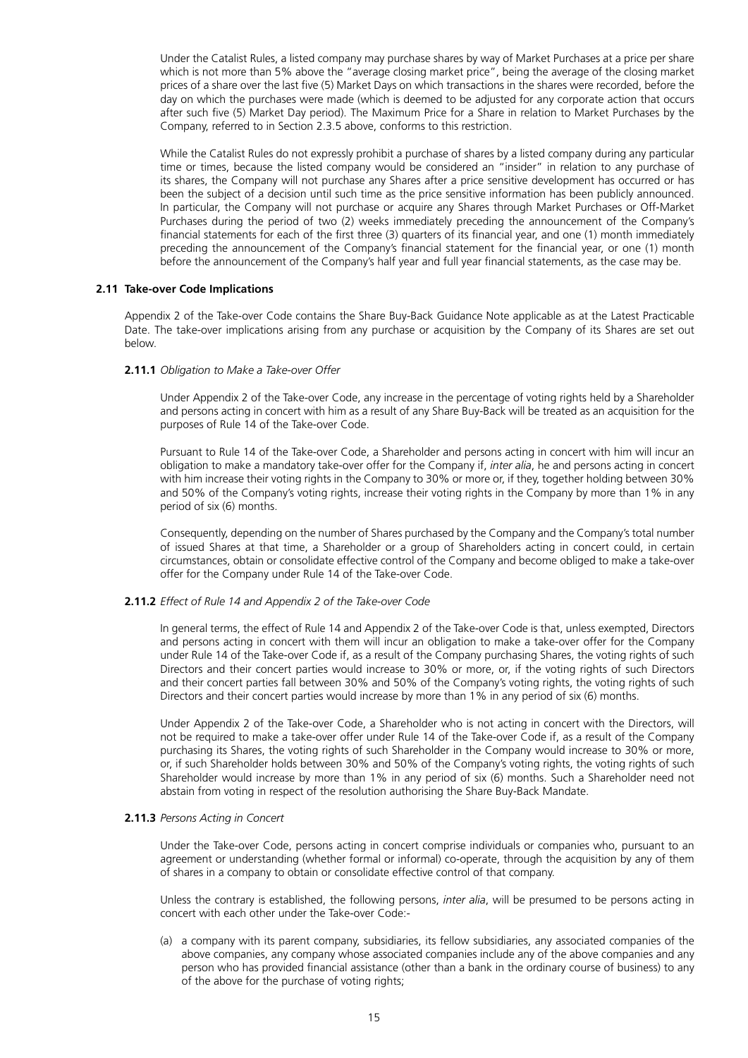Under the Catalist Rules, a listed company may purchase shares by way of Market Purchases at a price per share which is not more than 5% above the "average closing market price", being the average of the closing market prices of a share over the last five (5) Market Days on which transactions in the shares were recorded, before the day on which the purchases were made (which is deemed to be adjusted for any corporate action that occurs after such five (5) Market Day period). The Maximum Price for a Share in relation to Market Purchases by the Company, referred to in Section 2.3.5 above, conforms to this restriction.

While the Catalist Rules do not expressly prohibit a purchase of shares by a listed company during any particular time or times, because the listed company would be considered an "insider" in relation to any purchase of its shares, the Company will not purchase any Shares after a price sensitive development has occurred or has been the subject of a decision until such time as the price sensitive information has been publicly announced. In particular, the Company will not purchase or acquire any Shares through Market Purchases or Off-Market Purchases during the period of two (2) weeks immediately preceding the announcement of the Company's financial statements for each of the first three (3) quarters of its financial year, and one (1) month immediately preceding the announcement of the Company's financial statement for the financial year, or one (1) month before the announcement of the Company's half year and full year financial statements, as the case may be.

### **2.11 Take-over Code Implications**

Appendix 2 of the Take-over Code contains the Share Buy-Back Guidance Note applicable as at the Latest Practicable Date. The take-over implications arising from any purchase or acquisition by the Company of its Shares are set out below.

### **2.11.1** *Obligation to Make a Take-over Offer*

Under Appendix 2 of the Take-over Code, any increase in the percentage of voting rights held by a Shareholder and persons acting in concert with him as a result of any Share Buy-Back will be treated as an acquisition for the purposes of Rule 14 of the Take-over Code.

Pursuant to Rule 14 of the Take-over Code, a Shareholder and persons acting in concert with him will incur an obligation to make a mandatory take-over offer for the Company if, *inter alia*, he and persons acting in concert with him increase their voting rights in the Company to 30% or more or, if they, together holding between 30% and 50% of the Company's voting rights, increase their voting rights in the Company by more than 1% in any period of six (6) months.

Consequently, depending on the number of Shares purchased by the Company and the Company's total number of issued Shares at that time, a Shareholder or a group of Shareholders acting in concert could, in certain circumstances, obtain or consolidate effective control of the Company and become obliged to make a take-over offer for the Company under Rule 14 of the Take-over Code.

### **2.11.2** *Effect of Rule 14 and Appendix 2 of the Take-over Code*

In general terms, the effect of Rule 14 and Appendix 2 of the Take-over Code is that, unless exempted, Directors and persons acting in concert with them will incur an obligation to make a take-over offer for the Company under Rule 14 of the Take-over Code if, as a result of the Company purchasing Shares, the voting rights of such Directors and their concert parties would increase to 30% or more, or, if the voting rights of such Directors and their concert parties fall between 30% and 50% of the Company's voting rights, the voting rights of such Directors and their concert parties would increase by more than 1% in any period of six (6) months.

Under Appendix 2 of the Take-over Code, a Shareholder who is not acting in concert with the Directors, will not be required to make a take-over offer under Rule 14 of the Take-over Code if, as a result of the Company purchasing its Shares, the voting rights of such Shareholder in the Company would increase to 30% or more, or, if such Shareholder holds between 30% and 50% of the Company's voting rights, the voting rights of such Shareholder would increase by more than 1% in any period of six (6) months. Such a Shareholder need not abstain from voting in respect of the resolution authorising the Share Buy-Back Mandate.

### **2.11.3** *Persons Acting in Concert*

Under the Take-over Code, persons acting in concert comprise individuals or companies who, pursuant to an agreement or understanding (whether formal or informal) co-operate, through the acquisition by any of them of shares in a company to obtain or consolidate effective control of that company.

Unless the contrary is established, the following persons, *inter alia*, will be presumed to be persons acting in concert with each other under the Take-over Code:-

(a) a company with its parent company, subsidiaries, its fellow subsidiaries, any associated companies of the above companies, any company whose associated companies include any of the above companies and any person who has provided financial assistance (other than a bank in the ordinary course of business) to any of the above for the purchase of voting rights;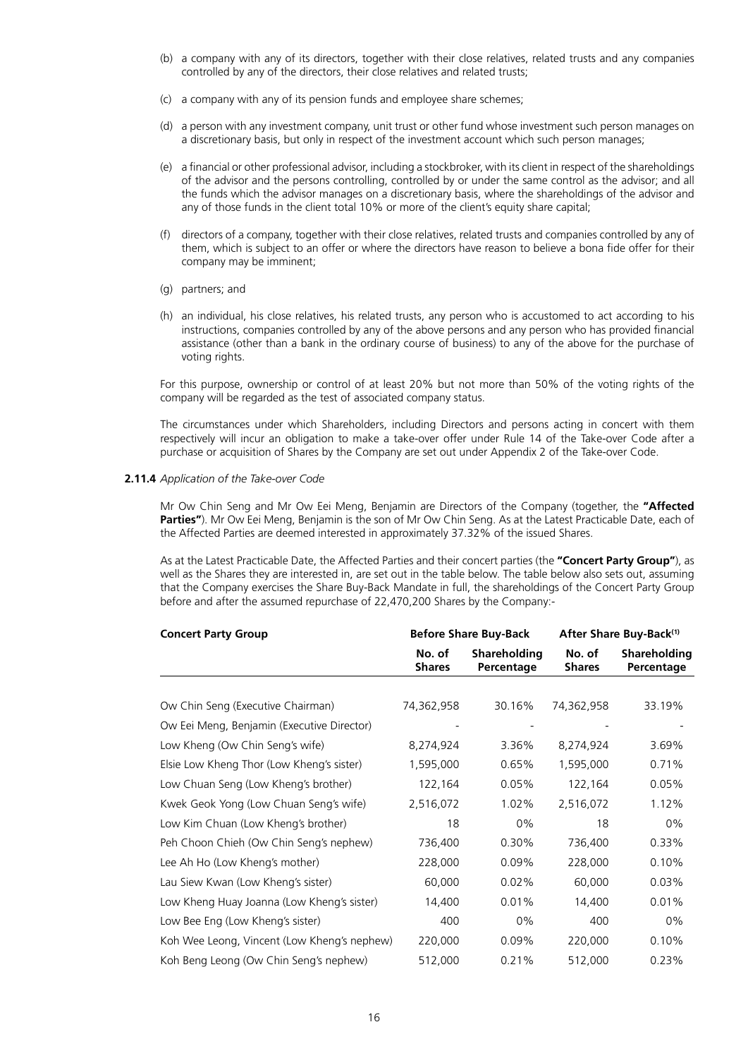- (b) a company with any of its directors, together with their close relatives, related trusts and any companies controlled by any of the directors, their close relatives and related trusts;
- (c) a company with any of its pension funds and employee share schemes;
- (d) a person with any investment company, unit trust or other fund whose investment such person manages on a discretionary basis, but only in respect of the investment account which such person manages;
- (e) a financial or other professional advisor, including a stockbroker, with its client in respect of the shareholdings of the advisor and the persons controlling, controlled by or under the same control as the advisor; and all the funds which the advisor manages on a discretionary basis, where the shareholdings of the advisor and any of those funds in the client total 10% or more of the client's equity share capital;
- (f) directors of a company, together with their close relatives, related trusts and companies controlled by any of them, which is subject to an offer or where the directors have reason to believe a bona fide offer for their company may be imminent;
- (g) partners; and
- (h) an individual, his close relatives, his related trusts, any person who is accustomed to act according to his instructions, companies controlled by any of the above persons and any person who has provided financial assistance (other than a bank in the ordinary course of business) to any of the above for the purchase of voting rights.

For this purpose, ownership or control of at least 20% but not more than 50% of the voting rights of the company will be regarded as the test of associated company status.

The circumstances under which Shareholders, including Directors and persons acting in concert with them respectively will incur an obligation to make a take-over offer under Rule 14 of the Take-over Code after a purchase or acquisition of Shares by the Company are set out under Appendix 2 of the Take-over Code.

### **2.11.4** *Application of the Take-over Code*

Mr Ow Chin Seng and Mr Ow Eei Meng, Benjamin are Directors of the Company (together, the **"Affected**  Parties"). Mr Ow Eei Meng, Benjamin is the son of Mr Ow Chin Seng. As at the Latest Practicable Date, each of the Affected Parties are deemed interested in approximately 37.32% of the issued Shares.

As at the Latest Practicable Date, the Affected Parties and their concert parties (the **"Concert Party Group"**), as well as the Shares they are interested in, are set out in the table below. The table below also sets out, assuming that the Company exercises the Share Buy-Back Mandate in full, the shareholdings of the Concert Party Group before and after the assumed repurchase of 22,470,200 Shares by the Company:-

| <b>Concert Party Group</b>                  |                         | <b>Before Share Buy-Back</b>      | After Share Buy-Back <sup>(1)</sup> |                                   |
|---------------------------------------------|-------------------------|-----------------------------------|-------------------------------------|-----------------------------------|
|                                             | No. of<br><b>Shares</b> | <b>Shareholding</b><br>Percentage | No. of<br><b>Shares</b>             | <b>Shareholding</b><br>Percentage |
| Ow Chin Seng (Executive Chairman)           | 74,362,958              | 30.16%                            | 74,362,958                          | 33.19%                            |
| Ow Eei Meng, Benjamin (Executive Director)  |                         |                                   |                                     |                                   |
| Low Kheng (Ow Chin Seng's wife)             | 8,274,924               | 3.36%                             | 8,274,924                           | 3.69%                             |
| Elsie Low Kheng Thor (Low Kheng's sister)   | 1,595,000               | 0.65%                             | 1,595,000                           | 0.71%                             |
| Low Chuan Seng (Low Kheng's brother)        | 122,164                 | 0.05%                             | 122,164                             | 0.05%                             |
| Kwek Geok Yong (Low Chuan Seng's wife)      | 2,516,072               | 1.02%                             | 2,516,072                           | 1.12%                             |
| Low Kim Chuan (Low Kheng's brother)         | 18                      | $0\%$                             | 18                                  | $0\%$                             |
| Peh Choon Chieh (Ow Chin Seng's nephew)     | 736,400                 | 0.30%                             | 736,400                             | 0.33%                             |
| Lee Ah Ho (Low Kheng's mother)              | 228,000                 | 0.09%                             | 228,000                             | 0.10%                             |
| Lau Siew Kwan (Low Kheng's sister)          | 60,000                  | 0.02%                             | 60,000                              | 0.03%                             |
| Low Kheng Huay Joanna (Low Kheng's sister)  | 14,400                  | 0.01%                             | 14,400                              | 0.01%                             |
| Low Bee Eng (Low Kheng's sister)            | 400                     | $0\%$                             | 400                                 | $0\%$                             |
| Koh Wee Leong, Vincent (Low Kheng's nephew) | 220,000                 | 0.09%                             | 220,000                             | 0.10%                             |
| Koh Beng Leong (Ow Chin Seng's nephew)      | 512,000                 | 0.21%                             | 512,000                             | 0.23%                             |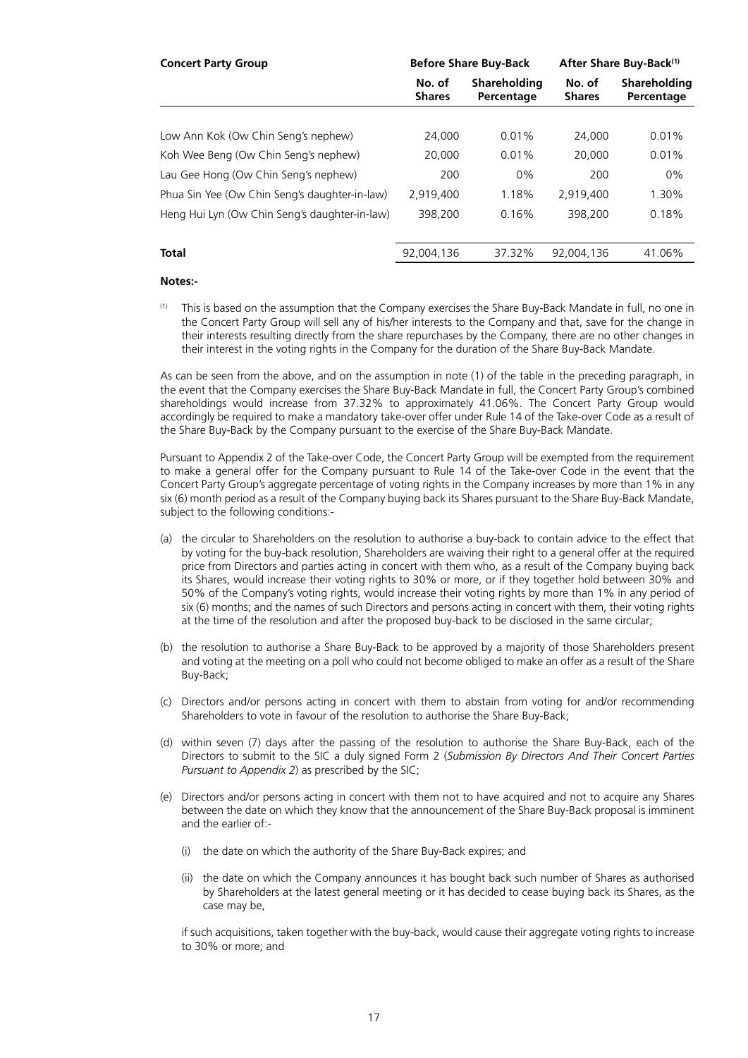| <b>Concert Party Group</b>                    |                         | <b>Before Share Buy-Back</b>      | After Share Buy-Back <sup>(1)</sup> |                                   |
|-----------------------------------------------|-------------------------|-----------------------------------|-------------------------------------|-----------------------------------|
|                                               | No. of<br><b>Shares</b> | <b>Shareholding</b><br>Percentage | No. of<br><b>Shares</b>             | <b>Shareholding</b><br>Percentage |
|                                               |                         |                                   |                                     |                                   |
| Low Ann Kok (Ow Chin Seng's nephew)           | 24.000                  | 0.01%                             | 24.000                              | 0.01%                             |
| Koh Wee Beng (Ow Chin Seng's nephew)          | 20,000                  | 0.01%                             | 20,000                              | 0.01%                             |
| Lau Gee Hong (Ow Chin Seng's nephew)          | 200                     | $0\%$                             | 200                                 | $0\%$                             |
| Phua Sin Yee (Ow Chin Seng's daughter-in-law) | 2.919.400               | 1.18%                             | 2.919.400                           | 1.30%                             |
| Heng Hui Lyn (Ow Chin Seng's daughter-in-law) | 398.200                 | 0.16%                             | 398,200                             | 0.18%                             |
| Total                                         | 92,004,136              | 37.32%                            | 92.004.136                          | 41.06%                            |

### **Notes:-**

(1) This is based on the assumption that the Company exercises the Share Buy-Back Mandate in full, no one in the Concert Party Group will sell any of his/her interests to the Company and that, save for the change in their interests resulting directly from the share repurchases by the Company, there are no other changes in their interest in the voting rights in the Company for the duration of the Share Buy-Back Mandate.

As can be seen from the above, and on the assumption in note (1) of the table in the preceding paragraph, in the event that the Company exercises the Share Buy-Back Mandate in full, the Concert Party Group's combined shareholdings would increase from 37.32% to approximately 41.06%. The Concert Party Group would accordingly be required to make a mandatory take-over offer under Rule 14 of the Take-over Code as a result of the Share Buy-Back by the Company pursuant to the exercise of the Share Buy-Back Mandate.

Pursuant to Appendix 2 of the Take-over Code, the Concert Party Group will be exempted from the requirement to make a general offer for the Company pursuant to Rule 14 of the Take-over Code in the event that the Concert Party Group's aggregate percentage of voting rights in the Company increases by more than 1% in any six (6) month period as a result of the Company buying back its Shares pursuant to the Share Buy-Back Mandate, subject to the following conditions:-

- (a) the circular to Shareholders on the resolution to authorise a buy-back to contain advice to the effect that by voting for the buy-back resolution, Shareholders are waiving their right to a general offer at the required price from Directors and parties acting in concert with them who, as a result of the Company buying back its Shares, would increase their voting rights to 30% or more, or if they together hold between 30% and 50% of the Company's voting rights, would increase their voting rights by more than 1% in any period of six (6) months; and the names of such Directors and persons acting in concert with them, their voting rights at the time of the resolution and after the proposed buy-back to be disclosed in the same circular;
- (b) the resolution to authorise a Share Buy-Back to be approved by a majority of those Shareholders present and voting at the meeting on a poll who could not become obliged to make an offer as a result of the Share Buy-Back;
- (c) Directors and/or persons acting in concert with them to abstain from voting for and/or recommending Shareholders to vote in favour of the resolution to authorise the Share Buy-Back;
- (d) within seven (7) days after the passing of the resolution to authorise the Share Buy-Back, each of the Directors to submit to the SIC a duly signed Form 2 (*Submission By Directors And Their Concert Parties Pursuant to Appendix 2*) as prescribed by the SIC;
- (e) Directors and/or persons acting in concert with them not to have acquired and not to acquire any Shares between the date on which they know that the announcement of the Share Buy-Back proposal is imminent and the earlier of:-
	- (i) the date on which the authority of the Share Buy-Back expires; and
	- (ii) the date on which the Company announces it has bought back such number of Shares as authorised by Shareholders at the latest general meeting or it has decided to cease buying back its Shares, as the case may be,

if such acquisitions, taken together with the buy-back, would cause their aggregate voting rights to increase to 30% or more; and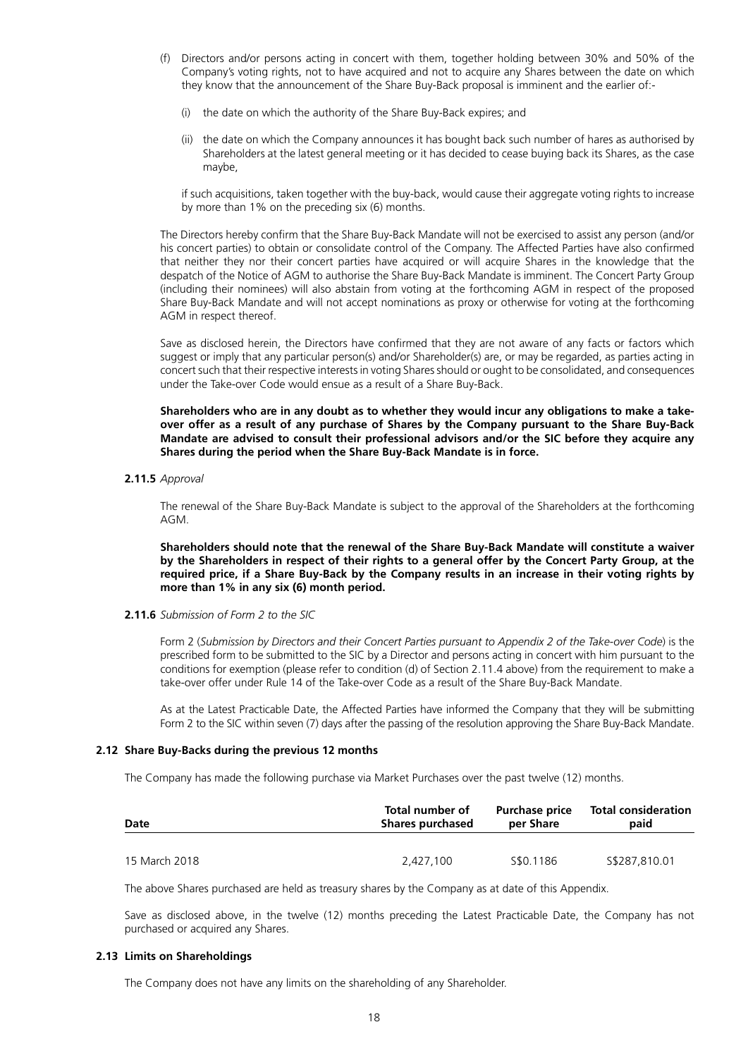- (f) Directors and/or persons acting in concert with them, together holding between 30% and 50% of the Company's voting rights, not to have acquired and not to acquire any Shares between the date on which they know that the announcement of the Share Buy-Back proposal is imminent and the earlier of:-
	- (i) the date on which the authority of the Share Buy-Back expires; and
	- (ii) the date on which the Company announces it has bought back such number of hares as authorised by Shareholders at the latest general meeting or it has decided to cease buying back its Shares, as the case maybe,

if such acquisitions, taken together with the buy-back, would cause their aggregate voting rights to increase by more than 1% on the preceding six (6) months.

The Directors hereby confirm that the Share Buy-Back Mandate will not be exercised to assist any person (and/or his concert parties) to obtain or consolidate control of the Company. The Affected Parties have also confirmed that neither they nor their concert parties have acquired or will acquire Shares in the knowledge that the despatch of the Notice of AGM to authorise the Share Buy-Back Mandate is imminent. The Concert Party Group (including their nominees) will also abstain from voting at the forthcoming AGM in respect of the proposed Share Buy-Back Mandate and will not accept nominations as proxy or otherwise for voting at the forthcoming AGM in respect thereof.

Save as disclosed herein, the Directors have confirmed that they are not aware of any facts or factors which suggest or imply that any particular person(s) and/or Shareholder(s) are, or may be regarded, as parties acting in concert such that their respective interests in voting Shares should or ought to be consolidated, and consequences under the Take-over Code would ensue as a result of a Share Buy-Back.

**Shareholders who are in any doubt as to whether they would incur any obligations to make a takeover offer as a result of any purchase of Shares by the Company pursuant to the Share Buy-Back Mandate are advised to consult their professional advisors and/or the SIC before they acquire any Shares during the period when the Share Buy-Back Mandate is in force.**

### **2.11.5** *Approval*

The renewal of the Share Buy-Back Mandate is subject to the approval of the Shareholders at the forthcoming AGM.

**Shareholders should note that the renewal of the Share Buy-Back Mandate will constitute a waiver by the Shareholders in respect of their rights to a general offer by the Concert Party Group, at the required price, if a Share Buy-Back by the Company results in an increase in their voting rights by more than 1% in any six (6) month period.**

**2.11.6** *Submission of Form 2 to the SIC*

Form 2 (*Submission by Directors and their Concert Parties pursuant to Appendix 2 of the Take-over Code*) is the prescribed form to be submitted to the SIC by a Director and persons acting in concert with him pursuant to the conditions for exemption (please refer to condition (d) of Section 2.11.4 above) from the requirement to make a take-over offer under Rule 14 of the Take-over Code as a result of the Share Buy-Back Mandate.

As at the Latest Practicable Date, the Affected Parties have informed the Company that they will be submitting Form 2 to the SIC within seven (7) days after the passing of the resolution approving the Share Buy-Back Mandate.

### **2.12 Share Buy-Backs during the previous 12 months**

The Company has made the following purchase via Market Purchases over the past twelve (12) months.

| Date          | Total number of<br><b>Shares purchased</b> | <b>Purchase price</b><br>per Share | Total consideration<br>paid |  |
|---------------|--------------------------------------------|------------------------------------|-----------------------------|--|
|               |                                            |                                    |                             |  |
| 15 March 2018 | 2.427.100                                  | S\$0.1186                          | S\$287.810.01               |  |

The above Shares purchased are held as treasury shares by the Company as at date of this Appendix.

Save as disclosed above, in the twelve (12) months preceding the Latest Practicable Date, the Company has not purchased or acquired any Shares.

### **2.13 Limits on Shareholdings**

The Company does not have any limits on the shareholding of any Shareholder.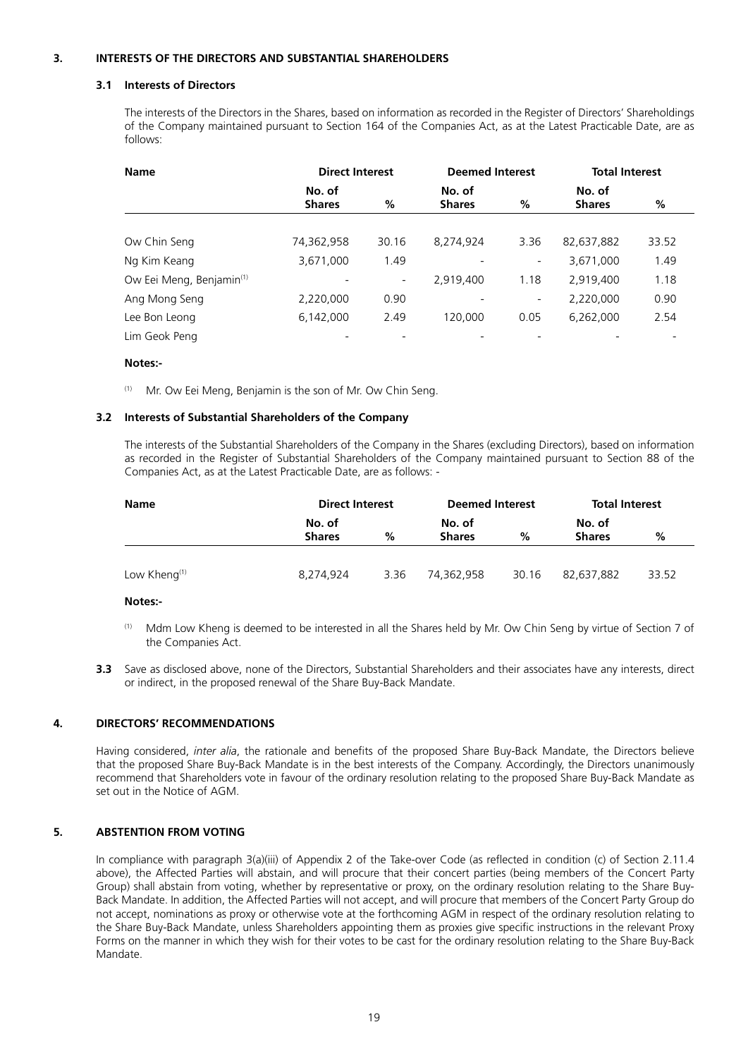### **3. INTERESTS OF THE DIRECTORS AND SUBSTANTIAL SHAREHOLDERS**

### **3.1 Interests of Directors**

The interests of the Directors in the Shares, based on information as recorded in the Register of Directors' Shareholdings of the Company maintained pursuant to Section 164 of the Companies Act, as at the Latest Practicable Date, are as follows:

| <b>Name</b>                          | <b>Direct Interest</b>  |                          | <b>Deemed Interest</b>  |                          | <b>Total Interest</b>   |       |
|--------------------------------------|-------------------------|--------------------------|-------------------------|--------------------------|-------------------------|-------|
|                                      | No. of<br><b>Shares</b> | %                        | No. of<br><b>Shares</b> | %                        | No. of<br><b>Shares</b> | %     |
|                                      |                         |                          |                         |                          |                         |       |
| Ow Chin Seng                         | 74,362,958              | 30.16                    | 8,274,924               | 3.36                     | 82,637,882              | 33.52 |
| Ng Kim Keang                         | 3,671,000               | 1.49                     |                         | $\overline{\phantom{a}}$ | 3,671,000               | 1.49  |
| Ow Eei Meng, Benjamin <sup>(1)</sup> |                         | $\overline{\phantom{a}}$ | 2,919,400               | 1.18                     | 2,919,400               | 1.18  |
| Ang Mong Seng                        | 2,220,000               | 0.90                     |                         | $\overline{\phantom{a}}$ | 2,220,000               | 0.90  |
| Lee Bon Leong                        | 6,142,000               | 2.49                     | 120,000                 | 0.05                     | 6,262,000               | 2.54  |
| Lim Geok Peng                        |                         |                          |                         |                          |                         |       |

### **Notes:-**

(1) Mr. Ow Eei Meng, Benjamin is the son of Mr. Ow Chin Seng.

### **3.2 Interests of Substantial Shareholders of the Company**

The interests of the Substantial Shareholders of the Company in the Shares (excluding Directors), based on information as recorded in the Register of Substantial Shareholders of the Company maintained pursuant to Section 88 of the Companies Act, as at the Latest Practicable Date, are as follows: -

| Name            | <b>Direct Interest</b>  |      | <b>Deemed Interest</b>  |       | <b>Total Interest</b>   |       |
|-----------------|-------------------------|------|-------------------------|-------|-------------------------|-------|
|                 | No. of<br><b>Shares</b> | %    | No. of<br><b>Shares</b> | %     | No. of<br><b>Shares</b> | %     |
| Low Kheng $(1)$ | 8,274,924               | 3.36 | 74,362,958              | 30.16 | 82,637,882              | 33.52 |

### **Notes:-**

- (1) Mdm Low Kheng is deemed to be interested in all the Shares held by Mr. Ow Chin Seng by virtue of Section 7 of the Companies Act.
- **3.3** Save as disclosed above, none of the Directors, Substantial Shareholders and their associates have any interests, direct or indirect, in the proposed renewal of the Share Buy-Back Mandate.

### **4. DIRECTORS' RECOMMENDATIONS**

Having considered, *inter alia*, the rationale and benefits of the proposed Share Buy-Back Mandate, the Directors believe that the proposed Share Buy-Back Mandate is in the best interests of the Company. Accordingly, the Directors unanimously recommend that Shareholders vote in favour of the ordinary resolution relating to the proposed Share Buy-Back Mandate as set out in the Notice of AGM.

### **5. ABSTENTION FROM VOTING**

In compliance with paragraph 3(a)(iii) of Appendix 2 of the Take-over Code (as reflected in condition (c) of Section 2.11.4 above), the Affected Parties will abstain, and will procure that their concert parties (being members of the Concert Party Group) shall abstain from voting, whether by representative or proxy, on the ordinary resolution relating to the Share Buy-Back Mandate. In addition, the Affected Parties will not accept, and will procure that members of the Concert Party Group do not accept, nominations as proxy or otherwise vote at the forthcoming AGM in respect of the ordinary resolution relating to the Share Buy-Back Mandate, unless Shareholders appointing them as proxies give specific instructions in the relevant Proxy Forms on the manner in which they wish for their votes to be cast for the ordinary resolution relating to the Share Buy-Back Mandate.